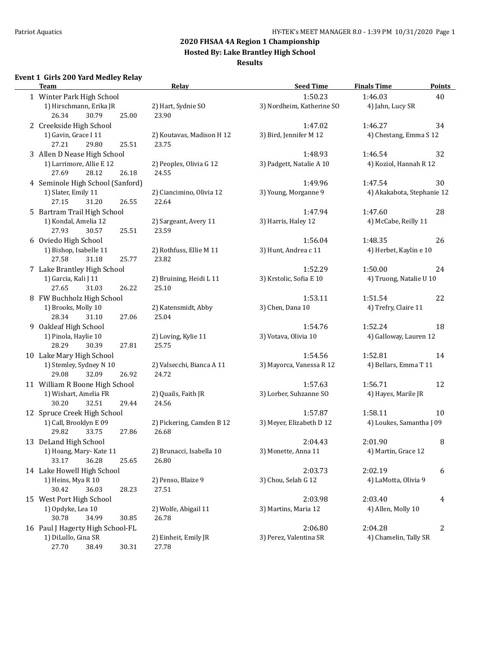**Hosted By: Lake Brantley High School**

#### **Results**

## **Event 1 Girls 200 Yard Medley Relay**

| <b>Team</b>                                     | Relay                            | <b>Seed Time</b>          | <b>Finals Time</b>         | <b>Points</b> |
|-------------------------------------------------|----------------------------------|---------------------------|----------------------------|---------------|
| 1 Winter Park High School                       |                                  | 1:50.23                   | 1:46.03                    | 40            |
| 1) Hirschmann, Erika JR                         | 2) Hart, Sydnie SO               | 3) Nordheim, Katherine SO | 4) Jahn, Lucy SR           |               |
| 26.34<br>30.79<br>25.00                         | 23.90                            |                           |                            |               |
| 2 Creekside High School                         |                                  | 1:47.02                   | 1:46.27                    | 34            |
| 1) Gavin, Grace I 11                            | 2) Koutavas, Madison H 12        | 3) Bird, Jennifer M 12    | 4) Chestang, Emma S 12     |               |
| 27.21<br>29.80<br>25.51                         | 23.75                            |                           |                            |               |
| 3 Allen D Nease High School                     |                                  | 1:48.93                   | 1:46.54                    | 32            |
| 1) Larrimore, Allie E 12                        | 2) Peoples, Olivia G 12          | 3) Padgett, Natalie A 10  | 4) Koziol, Hannah R 12     |               |
| 26.18<br>27.69<br>28.12                         | 24.55                            |                           |                            |               |
| 4 Seminole High School (Sanford)                |                                  | 1:49.96                   | 1:47.54                    | 30            |
| 1) Slater, Emily 11                             | 2) Ciancimino, Olivia 12         | 3) Young, Morganne 9      | 4) Akakabota, Stephanie 12 |               |
| 31.20<br>27.15<br>26.55                         | 22.64                            |                           |                            |               |
| 5 Bartram Trail High School                     |                                  | 1:47.94                   | 1:47.60                    | 28            |
| 1) Kondal, Amelia 12                            | 2) Sargeant, Avery 11            | 3) Harris, Haley 12       | 4) McCabe, Reilly 11       |               |
| 27.93<br>30.57<br>25.51                         | 23.59                            |                           |                            |               |
| 6 Oviedo High School                            |                                  | 1:56.04                   | 1:48.35                    | 26            |
| 1) Bishop, Isabelle 11                          | 2) Rothfuss, Ellie M 11          | 3) Hunt, Andrea c 11      | 4) Herbet, Kaylin e 10     |               |
| 27.58<br>31.18<br>25.77                         | 23.82                            |                           |                            |               |
|                                                 |                                  | 1:52.29                   | 1:50.00                    |               |
| 7 Lake Brantley High School                     |                                  |                           |                            | 24            |
| 1) Garcia, Kali J 11<br>26.22<br>27.65<br>31.03 | 2) Bruining, Heidi L 11<br>25.10 | 3) Krstolic, Sofia E 10   | 4) Truong, Natalie U 10    |               |
|                                                 |                                  |                           |                            |               |
| 8 FW Buchholz High School                       |                                  | 1:53.11                   | 1:51.54                    | 22            |
| 1) Brooks, Molly 10                             | 2) Katensmidt, Abby              | 3) Chen, Dana 10          | 4) Trefry, Claire 11       |               |
| 28.34<br>31.10<br>27.06                         | 25.04                            |                           |                            |               |
| 9 Oakleaf High School                           |                                  | 1:54.76                   | 1:52.24                    | 18            |
| 1) Pinola, Haylie 10                            | 2) Loving, Kylie 11              | 3) Votava, Olivia 10      | 4) Galloway, Lauren 12     |               |
| 27.81<br>28.29<br>30.39                         | 25.75                            |                           |                            |               |
| 10 Lake Mary High School                        |                                  | 1:54.56                   | 1:52.81                    | 14            |
| 1) Stemley, Sydney N 10                         | 2) Valsecchi, Bianca A 11        | 3) Mayorca, Vanessa R 12  | 4) Bellars, Emma T 11      |               |
| 29.08<br>32.09<br>26.92                         | 24.72                            |                           |                            |               |
| 11 William R Boone High School                  |                                  | 1:57.63                   | 1:56.71                    | 12            |
| 1) Wishart, Amelia FR                           | 2) Quails, Faith JR              | 3) Lorber, Suhzanne SO    | 4) Hayes, Marile JR        |               |
| 32.51<br>30.20<br>29.44                         | 24.56                            |                           |                            |               |
| 12 Spruce Creek High School                     |                                  | 1:57.87                   | 1:58.11                    | 10            |
| 1) Call, Brooklyn E 09                          | 2) Pickering, Camden B 12        | 3) Meyer, Elizabeth D 12  | 4) Loukes, Samantha J 09   |               |
| 33.75<br>29.82<br>27.86                         | 26.68                            |                           |                            |               |
| 13 DeLand High School                           |                                  | 2:04.43                   | 2:01.90                    | 8             |
| 1) Hoang, Mary-Kate 11                          | 2) Brunacci, Isabella 10         | 3) Monette, Anna 11       | 4) Martin, Grace 12        |               |
| 33.17<br>36.28<br>25.65                         | 26.80                            |                           |                            |               |
| 14 Lake Howell High School                      |                                  | 2:03.73                   | 2:02.19                    | 6             |
| 1) Heins, Mya R 10                              | 2) Penso, Blaize 9               | 3) Chou, Selah G 12       | 4) LaMotta, Olivia 9       |               |
| 30.42<br>28.23<br>36.03                         | 27.51                            |                           |                            |               |
| 15 West Port High School                        |                                  | 2:03.98                   | 2:03.40                    | 4             |
| 1) Opdyke, Lea 10                               | 2) Wolfe, Abigail 11             | 3) Martins, Maria 12      | 4) Allen, Molly 10         |               |
| 30.78<br>34.99<br>30.85                         | 26.78                            |                           |                            |               |
| 16 Paul J Hagerty High School-FL                |                                  | 2:06.80                   | 2:04.28                    | 2             |
| 1) DiLullo, Gina SR                             | 2) Einheit, Emily JR             | 3) Perez, Valentina SR    | 4) Chamelin, Tally SR      |               |
| 27.70<br>38.49<br>30.31                         | 27.78                            |                           |                            |               |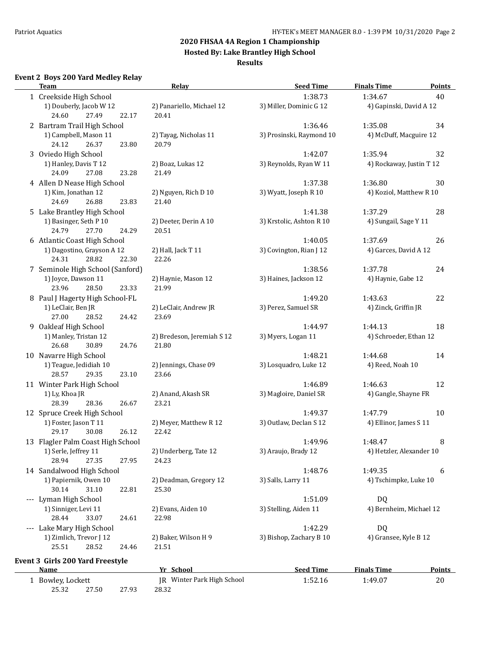**Hosted By: Lake Brantley High School**

#### **Results**

#### **Event 2 Boys 200 Yard Medley Relay**

| <b>Team</b>                                        | Relay                              | <b>Seed Time</b>         | <b>Finals Time</b>       | <b>Points</b> |
|----------------------------------------------------|------------------------------------|--------------------------|--------------------------|---------------|
| 1 Creekside High School                            |                                    | 1:38.73                  | 1:34.67                  | 40            |
| 1) Douberly, Jacob W 12<br>24.60<br>27.49<br>22.17 | 2) Panariello, Michael 12<br>20.41 | 3) Miller, Dominic G 12  | 4) Gapinski, David A 12  |               |
| 2 Bartram Trail High School                        |                                    | 1:36.46                  | 1:35.08                  | 34            |
| 1) Campbell, Mason 11<br>24.12<br>26.37<br>23.80   | 2) Tayag, Nicholas 11<br>20.79     | 3) Prosinski, Raymond 10 | 4) McDuff, Macguire 12   |               |
| 3 Oviedo High School                               |                                    | 1:42.07                  | 1:35.94                  | 32            |
| 1) Hanley, Davis T 12<br>24.09<br>27.08<br>23.28   | 2) Boaz, Lukas 12<br>21.49         | 3) Reynolds, Ryan W 11   | 4) Rockaway, Justin T 12 |               |
| 4 Allen D Nease High School                        |                                    | 1:37.38                  | 1:36.80                  | 30            |
| 1) Kim, Jonathan 12<br>26.88<br>24.69<br>23.83     | 2) Nguyen, Rich D 10<br>21.40      | 3) Wyatt, Joseph R 10    | 4) Koziol, Matthew R 10  |               |
| 5 Lake Brantley High School                        |                                    | 1:41.38                  | 1:37.29                  | 28            |
| 1) Basinger, Seth P 10                             | 2) Deeter, Derin A 10              | 3) Krstolic, Ashton R 10 | 4) Sungail, Sage Y 11    |               |
| 27.70<br>24.79<br>24.29                            | 20.51                              |                          |                          |               |
| 6 Atlantic Coast High School                       |                                    | 1:40.05                  | 1:37.69                  | 26            |
| 1) Dagostino, Grayson A 12                         | 2) Hall, Jack T 11                 | 3) Covington, Rian J 12  | 4) Garces, David A 12    |               |
| 24.31<br>28.82<br>22.30                            | 22.26                              |                          |                          |               |
| 7 Seminole High School (Sanford)                   |                                    | 1:38.56                  | 1:37.78                  | 24            |
| 1) Joyce, Dawson 11                                | 2) Haynie, Mason 12                | 3) Haines, Jackson 12    | 4) Haynie, Gabe 12       |               |
| 23.96<br>28.50<br>23.33                            | 21.99                              |                          |                          |               |
| 8 Paul J Hagerty High School-FL                    |                                    | 1:49.20                  | 1:43.63                  | 22            |
| 1) LeClair, Ben JR                                 | 2) LeClair, Andrew JR              | 3) Perez, Samuel SR      | 4) Zinck, Griffin JR     |               |
| 27.00<br>28.52<br>24.42                            | 23.69                              |                          |                          |               |
| 9 Oakleaf High School                              |                                    | 1:44.97                  | 1:44.13                  | 18            |
| 1) Manley, Tristan 12                              | 2) Bredeson, Jeremiah S 12         | 3) Myers, Logan 11       | 4) Schroeder, Ethan 12   |               |
| 26.68<br>30.89<br>24.76                            | 21.80                              |                          |                          |               |
| 10 Navarre High School                             |                                    | 1:48.21                  | 1:44.68                  | 14            |
| 1) Teague, Jedidiah 10                             | 2) Jennings, Chase 09              | 3) Losquadro, Luke 12    | 4) Reed, Noah 10         |               |
| 28.57<br>29.35<br>23.10                            | 23.66                              |                          |                          |               |
| 11 Winter Park High School                         |                                    | 1:46.89                  | 1:46.63                  | 12            |
| 1) Ly, Khoa JR                                     | 2) Anand, Akash SR                 | 3) Magloire, Daniel SR   | 4) Gangle, Shayne FR     |               |
| 28.39<br>28.36<br>26.67                            | 23.21                              |                          |                          |               |
| 12 Spruce Creek High School                        |                                    | 1:49.37                  | 1:47.79                  | 10            |
| 1) Foster, Jason T 11                              | 2) Meyer, Matthew R 12             | 3) Outlaw, Declan S 12   | 4) Ellinor, James S 11   |               |
| 30.08<br>29.17<br>26.12                            | 22.42                              |                          |                          |               |
| 13 Flagler Palm Coast High School                  |                                    | 1:49.96                  | 1:48.47                  | 8             |
| 1) Serle, Jeffrey 11                               | 2) Underberg, Tate 12              | 3) Araujo, Brady 12      | 4) Hetzler, Alexander 10 |               |
| 28.94<br>27.35<br>27.95                            | 24.23                              |                          |                          |               |
| 14 Sandalwood High School                          |                                    | 1:48.76                  | 1:49.35                  | 6             |
| 1) Papiernik, Owen 10                              | 2) Deadman, Gregory 12             | 3) Salls, Larry 11       | 4) Tschimpke, Luke 10    |               |
| 22.81<br>30.14<br>31.10                            | 25.30                              |                          |                          |               |
| --- Lyman High School                              |                                    | 1:51.09                  | DQ                       |               |
| 1) Sinniger, Levi 11                               | 2) Evans, Aiden 10                 | 3) Stelling, Aiden 11    | 4) Bernheim, Michael 12  |               |
| 28.44<br>33.07<br>24.61                            | 22.98                              |                          |                          |               |
| --- Lake Mary High School                          |                                    | 1:42.29                  | DQ                       |               |
| 1) Zimlich, Trevor J 12                            | 2) Baker, Wilson H 9               | 3) Bishop, Zachary B 10  | 4) Gransee, Kyle B 12    |               |
| 28.52<br>25.51<br>24.46                            | 21.51                              |                          |                          |               |
| Event 3 Girls 200 Yard Freestyle                   |                                    |                          |                          |               |
| <b>Name</b>                                        | Yr School                          | <b>Seed Time</b>         | <b>Finals Time</b>       | <b>Points</b> |
| 1 Bowley, Lockett                                  | JR Winter Park High School         | 1:52.16                  | 1:49.07                  | 20            |
| 25.32<br>27.50<br>27.93                            | 28.32                              |                          |                          |               |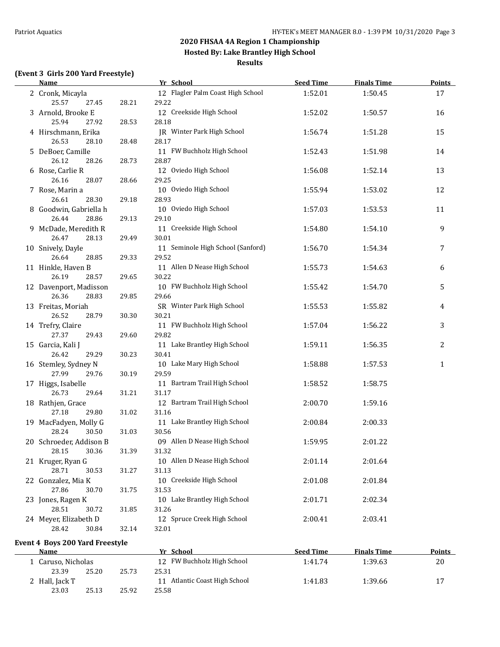**Hosted By: Lake Brantley High School**

**Results**

#### **(Event 3 Girls 200 Yard Freestyle)**

23.03 25.13 25.92 25.58

| <b>Name</b>                                           |                | Yr School                                     | <b>Seed Time</b> | <b>Finals Time</b> | <b>Points</b> |
|-------------------------------------------------------|----------------|-----------------------------------------------|------------------|--------------------|---------------|
| 2 Cronk, Micayla<br>25.57<br>27.45                    | 28.21          | 12 Flagler Palm Coast High School<br>29.22    | 1:52.01          | 1:50.45            | 17            |
| 3 Arnold, Brooke E<br>25.94<br>27.92                  | 28.53          | 12 Creekside High School<br>28.18             | 1:52.02          | 1:50.57            | 16            |
| 4 Hirschmann, Erika<br>26.53<br>28.10                 | 28.48          | JR Winter Park High School<br>28.17           | 1:56.74          | 1:51.28            | 15            |
| 5 DeBoer, Camille<br>26.12<br>28.26                   | 28.73          | 11 FW Buchholz High School<br>28.87           | 1:52.43          | 1:51.98            | 14            |
| 6 Rose, Carlie R<br>26.16<br>28.07                    | 28.66          | 12 Oviedo High School<br>29.25                | 1:56.08          | 1:52.14            | 13            |
| 7 Rose, Marin a<br>26.61<br>28.30                     | 29.18          | 10 Oviedo High School<br>28.93                | 1:55.94          | 1:53.02            | 12            |
| 8 Goodwin, Gabriella h<br>26.44<br>28.86              | 29.13          | 10 Oviedo High School<br>29.10                | 1:57.03          | 1:53.53            | 11            |
| 9 McDade, Meredith R<br>26.47<br>28.13                | 29.49          | 11 Creekside High School<br>30.01             | 1:54.80          | 1:54.10            | 9             |
| 10 Snively, Dayle<br>26.64<br>28.85                   | 29.33          | 11 Seminole High School (Sanford)<br>29.52    | 1:56.70          | 1:54.34            | 7             |
| 11 Hinkle, Haven B<br>26.19<br>28.57                  | 29.65          | 11 Allen D Nease High School<br>30.22         | 1:55.73          | 1:54.63            | 6             |
| 12 Davenport, Madisson<br>26.36<br>28.83              | 29.85          | 10 FW Buchholz High School<br>29.66           | 1:55.42          | 1:54.70            | 5             |
| 13 Freitas, Moriah<br>26.52<br>28.79                  | 30.30          | SR Winter Park High School<br>30.21           | 1:55.53          | 1:55.82            | 4             |
| 14 Trefry, Claire<br>27.37<br>29.43                   | 29.60          | 11 FW Buchholz High School<br>29.82           | 1:57.04          | 1:56.22            | 3             |
| 15 Garcia, Kali J<br>26.42<br>29.29                   | 30.23          | 11 Lake Brantley High School<br>30.41         | 1:59.11          | 1:56.35            | 2             |
| 16 Stemley, Sydney N<br>27.99<br>29.76                | 30.19          | 10 Lake Mary High School<br>29.59             | 1:58.88          | 1:57.53            | $\mathbf{1}$  |
| 17 Higgs, Isabelle<br>26.73<br>29.64                  | 31.21          | 11 Bartram Trail High School<br>31.17         | 1:58.52          | 1:58.75            |               |
| 18 Rathjen, Grace<br>27.18<br>29.80                   | 31.02          | 12 Bartram Trail High School<br>31.16         | 2:00.70          | 1:59.16            |               |
| 19 MacFadyen, Molly G<br>28.24<br>30.50               | 31.03          | 11 Lake Brantley High School<br>30.56         | 2:00.84          | 2:00.33            |               |
| 20 Schroeder, Addison B<br>28.15<br>30.36             |                | 09 Allen D Nease High School<br>31.32         | 1:59.95          | 2:01.22            |               |
| 21 Kruger, Ryan G<br>28.71<br>30.53                   | 31.39<br>31.27 | 10 Allen D Nease High School<br>31.13         | 2:01.14          | 2:01.64            |               |
| 22 Gonzalez, Mia K<br>27.86                           |                | 10 Creekside High School                      | 2:01.08          | 2:01.84            |               |
| 30.70<br>23 Jones, Ragen K<br>28.51                   | 31.75          | 31.53<br>10 Lake Brantley High School         | 2:01.71          | 2:02.34            |               |
| 30.72<br>24 Meyer, Elizabeth D<br>28.42<br>30.84      | 31.85<br>32.14 | 31.26<br>12 Spruce Creek High School<br>32.01 | 2:00.41          | 2:03.41            |               |
|                                                       |                |                                               |                  |                    |               |
| <b>Event 4 Boys 200 Yard Freestyle</b><br><b>Name</b> |                | Yr School                                     | <b>Seed Time</b> | <b>Finals Time</b> | <b>Points</b> |
| 1 Caruso, Nicholas<br>23.39<br>25.20                  | 25.73          | 12 FW Buchholz High School<br>25.31           | 1:41.74          | 1:39.63            | $20\,$        |
| 2 Hall, Jack T                                        |                | 11 Atlantic Coast High School                 | 1:41.83          | 1:39.66            | 17            |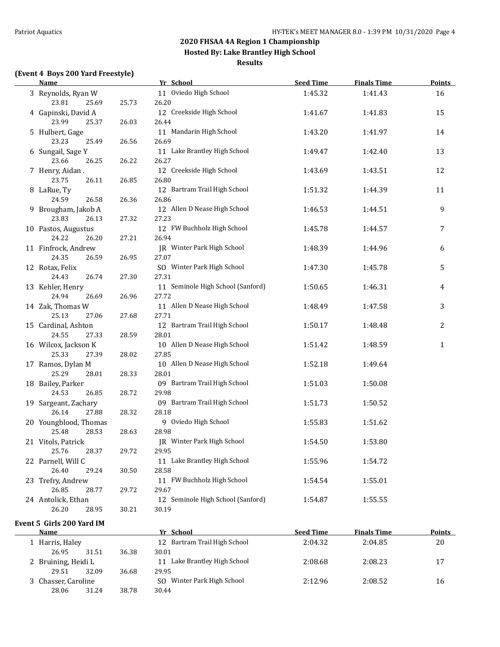**Hosted By: Lake Brantley High School**

#### **Results**

#### **(Event 4 Boys 200 Yard Freestyle)**

| (Event 4 Boys 200 Yard Freestyle)<br><b>Name</b> |       | Yr School                           | <b>Seed Time</b> | <b>Finals Time</b> | <b>Points</b> |
|--------------------------------------------------|-------|-------------------------------------|------------------|--------------------|---------------|
| 3 Reynolds, Ryan W                               |       | 11 Oviedo High School               | 1:45.32          | 1:41.43            | 16            |
| 23.81<br>25.69                                   | 25.73 | 26.20                               |                  |                    |               |
| 4 Gapinski, David A                              |       | 12 Creekside High School            | 1:41.67          | 1:41.83            | 15            |
| 23.99<br>25.37                                   | 26.03 | 26.44                               |                  |                    |               |
| 5 Hulbert, Gage                                  |       | 11 Mandarin High School             | 1:43.20          | 1:41.97            | 14            |
| 23.23<br>25.49                                   | 26.56 | 26.69                               |                  |                    |               |
| 6 Sungail, Sage Y                                |       | 11 Lake Brantley High School        | 1:49.47          | 1:42.40            | 13            |
| 23.66<br>26.25                                   | 26.22 | 26.27                               |                  |                    |               |
| 7 Henry, Aidan.                                  |       | 12 Creekside High School            | 1:43.69          | 1:43.51            | 12            |
| 23.75<br>26.11                                   | 26.85 | 26.80                               |                  |                    |               |
| 8 LaRue, Ty                                      |       | 12 Bartram Trail High School        | 1:51.32          | 1:44.39            | 11            |
| 24.59<br>26.58                                   | 26.36 | 26.86                               |                  |                    |               |
| 9 Brougham, Jakob A                              |       | 12 Allen D Nease High School        | 1:46.53          | 1:44.51            | 9             |
| 23.83<br>26.13                                   | 27.32 | 27.23                               |                  |                    |               |
| 10 Pastos, Augustus<br>24.22<br>26.20            | 27.21 | 12 FW Buchholz High School<br>26.94 | 1:45.78          | 1:44.57            | 7             |
| 11 Finfrock, Andrew                              |       | IR Winter Park High School          | 1:48.39          |                    |               |
| 24.35<br>26.59                                   | 26.95 | 27.07                               |                  | 1:44.96            | 6             |
| 12 Rotax, Felix                                  |       | SO Winter Park High School          | 1:47.30          | 1:45.78            | 5             |
| 24.43<br>26.74                                   | 27.30 | 27.31                               |                  |                    |               |
| 13 Kehler, Henry                                 |       | 11 Seminole High School (Sanford)   | 1:50.65          | 1:46.31            | 4             |
| 24.94<br>26.69                                   | 26.96 | 27.72                               |                  |                    |               |
| 14 Zak, Thomas W                                 |       | 11 Allen D Nease High School        | 1:48.49          | 1:47.58            | 3             |
| 25.13<br>27.06                                   | 27.68 | 27.71                               |                  |                    |               |
| 15 Cardinal, Ashton                              |       | 12 Bartram Trail High School        | 1:50.17          | 1:48.48            | 2             |
| 24.55<br>27.33                                   | 28.59 | 28.01                               |                  |                    |               |
| 16 Wilcox, Jackson K                             |       | 10 Allen D Nease High School        | 1:51.42          | 1:48.59            | 1             |
| 25.33<br>27.39                                   | 28.02 | 27.85                               |                  |                    |               |
| 17 Ramos, Dylan M                                |       | 10 Allen D Nease High School        | 1:52.18          | 1:49.64            |               |
| 25.29<br>28.01                                   | 28.33 | 28.01                               |                  |                    |               |
| 18 Bailey, Parker                                |       | 09 Bartram Trail High School        | 1:51.03          | 1:50.08            |               |
| 24.53<br>26.85                                   | 28.72 | 29.98                               |                  |                    |               |
| 19 Sargeant, Zachary                             |       | 09 Bartram Trail High School        | 1:51.73          | 1:50.52            |               |
| 26.14<br>27.88                                   | 28.32 | 28.18                               |                  |                    |               |
| 20 Youngblood, Thomas                            |       | 9 Oviedo High School                | 1:55.83          | 1:51.62            |               |
| 25.48<br>28.53                                   | 28.63 | 28.98                               |                  |                    |               |
| 21 Vitols, Patrick                               |       | JR Winter Park High School          | 1:54.50          | 1:53.80            |               |
| 25.76<br>28.37                                   | 29.72 | 29.95                               |                  |                    |               |
| 22 Parnell, Will C                               |       | 11 Lake Brantley High School        | 1:55.96          | 1:54.72            |               |
| 26.40<br>29.24                                   | 30.50 | 28.58                               |                  |                    |               |
| 23 Trefry, Andrew                                |       | 11 FW Buchholz High School          | 1:54.54          | 1:55.01            |               |
| 26.85<br>28.77                                   | 29.72 | 29.67                               |                  |                    |               |
| 24 Antolick, Ethan                               |       | 12 Seminole High School (Sanford)   | 1:54.87          | 1:55.55            |               |
| 26.20<br>28.95                                   | 30.21 | 30.19                               |                  |                    |               |

#### **Event 5 Girls 200 Yard IM**

 $\overline{\phantom{0}}$ 

| Name                |       |       | Yr School                       | <b>Seed Time</b> | <b>Finals Time</b> | <b>Points</b> |
|---------------------|-------|-------|---------------------------------|------------------|--------------------|---------------|
| 1 Harris, Haley     |       |       | 12 Bartram Trail High School    | 2:04.32          | 2:04.85            | 20            |
| 26.95               | 31.51 | 36.38 | 30.01                           |                  |                    |               |
| 2 Bruining, Heidi L |       |       | Lake Brantley High School<br>11 | 2:08.68          | 2:08.23            | 17            |
| 29.51               | 32.09 | 36.68 | 29.95                           |                  |                    |               |
| 3 Chasser, Caroline |       |       | Winter Park High School<br>SO.  | 2:12.96          | 2:08.52            | 16            |
| 28.06               | 31.24 | 38.78 | 30.44                           |                  |                    |               |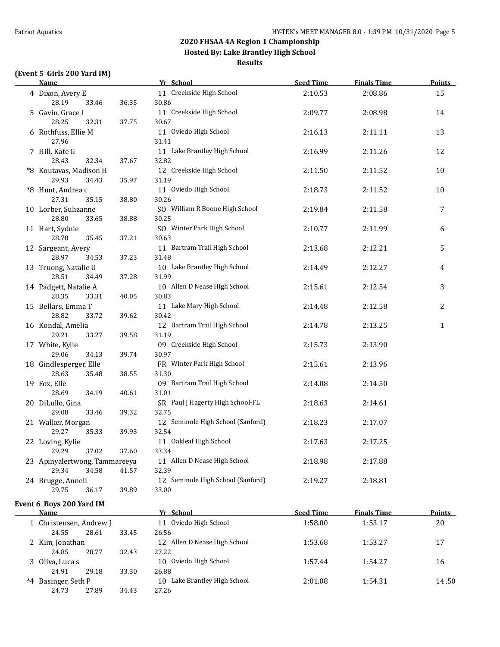**Hosted By: Lake Brantley High School**

#### **Results**

## **(Event 5 Girls 200 Yard IM)**

| <b>Name</b>                        |       | Yr School                                 | <b>Seed Time</b> | <b>Finals Time</b> | <b>Points</b> |
|------------------------------------|-------|-------------------------------------------|------------------|--------------------|---------------|
| 4 Dixon, Avery E                   |       | 11 Creekside High School                  | 2:10.53          | 2:08.86            | 15            |
| 28.19<br>33.46                     | 36.35 | 30.86                                     |                  |                    |               |
| 5 Gavin, Grace I                   |       | 11 Creekside High School                  | 2:09.77          | 2:08.98            | 14            |
| 28.25<br>32.31                     | 37.75 | 30.67                                     |                  |                    |               |
| 6 Rothfuss, Ellie M                |       | 11 Oviedo High School                     | 2:16.13          | 2:11.11            | 13            |
| 27.96                              |       | 31.41                                     |                  |                    |               |
| 7 Hill, Kate G                     |       | 11 Lake Brantley High School              | 2:16.99          | 2:11.26            | 12            |
| 28.43<br>32.34                     | 37.67 | 32.82                                     |                  |                    |               |
| *8 Koutavas, Madison H             |       | 12 Creekside High School                  | 2:11.50          | 2:11.52            | 10            |
| 29.93<br>34.43                     | 35.97 | 31.19                                     |                  |                    |               |
| *8 Hunt, Andrea c                  |       | 11 Oviedo High School                     | 2:18.73          | 2:11.52            | 10            |
| 27.31<br>35.15                     | 38.80 | 30.26                                     |                  |                    |               |
| 10 Lorber, Suhzanne                |       | SO William R Boone High School            | 2:19.84          | 2:11.58            | 7             |
| 28.80<br>33.65                     | 38.88 | 30.25                                     |                  |                    |               |
| 11 Hart, Sydnie                    |       | SO Winter Park High School                | 2:10.77          | 2:11.99            | 6             |
| 28.70<br>35.45                     | 37.21 | 30.63                                     |                  |                    |               |
| 12 Sargeant, Avery                 |       | 11 Bartram Trail High School              | 2:13.68          | 2:12.21            | 5             |
| 28.97<br>34.53                     | 37.23 | 31.48                                     |                  |                    |               |
| 13 Truong, Natalie U               |       | 10 Lake Brantley High School              | 2:14.49          | 2:12.27            | 4             |
| 28.51<br>34.49                     | 37.28 | 31.99                                     |                  |                    |               |
| 14 Padgett, Natalie A              |       | 10 Allen D Nease High School              | 2:15.61          | 2:12.54            | 3             |
| 28.35<br>33.31                     | 40.05 | 30.83                                     |                  |                    |               |
| 15 Bellars, Emma T                 |       | 11 Lake Mary High School                  | 2:14.48          | 2:12.58            | 2             |
| 28.82<br>33.72                     | 39.62 | 30.42                                     |                  |                    |               |
| 16 Kondal, Amelia                  |       | 12 Bartram Trail High School              | 2:14.78          | 2:13.25            | $\mathbf{1}$  |
| 29.21<br>33.27                     | 39.58 | 31.19                                     |                  |                    |               |
| 17 White, Kylie                    |       | 09 Creekside High School                  | 2:15.73          | 2:13.90            |               |
| 29.06<br>34.13                     | 39.74 | 30.97                                     |                  |                    |               |
| 18 Gindlesperger, Elle             |       | FR Winter Park High School                | 2:15.61          | 2:13.96            |               |
| 28.63<br>35.48                     | 38.55 | 31.30                                     |                  |                    |               |
| 19 Fox, Elle<br>28.69              |       | 09 Bartram Trail High School              | 2:14.08          | 2:14.50            |               |
| 34.19                              | 40.61 | 31.01<br>SR Paul J Hagerty High School-FL |                  |                    |               |
| 20 DiLullo, Gina<br>29.08<br>33.46 | 39.32 | 32.75                                     | 2:18.63          | 2:14.61            |               |
| 21 Walker, Morgan                  |       | 12 Seminole High School (Sanford)         | 2:18.23          | 2:17.07            |               |
| 29.27<br>35.33                     | 39.93 | 32.54                                     |                  |                    |               |
| 22 Loving, Kylie                   |       | 11 Oakleaf High School                    | 2:17.63          | 2:17.25            |               |
| 29.29<br>37.02                     | 37.60 | 33.34                                     |                  |                    |               |
| 23 Apinyalertwong, Tammareeya      |       | 11 Allen D Nease High School              | 2:18.98          | 2:17.88            |               |
| 29.34<br>34.58                     | 41.57 | 32.39                                     |                  |                    |               |
| 24 Brugge, Anneli                  |       | 12 Seminole High School (Sanford)         | 2:19.27          | 2:18.81            |               |
| 29.75<br>36.17                     | 39.89 | 33.00                                     |                  |                    |               |
|                                    |       |                                           |                  |                    |               |
| Event 6 Boys 200 Yard IM           |       |                                           |                  |                    |               |
| <b>Name</b>                        |       | Yr School                                 | <b>Seed Time</b> | <b>Finals Time</b> | Points        |

| name                    |       |       | 11 JUNUU                        | JUU HIIIU | 1 111419  1 11116 | <u>i viilly </u> |
|-------------------------|-------|-------|---------------------------------|-----------|-------------------|------------------|
| 1 Christensen, Andrew J |       |       | 11 Oviedo High School           | 1:58.00   | 1:53.17           | 20               |
| 24.55                   | 28.61 | 33.45 | 26.56                           |           |                   |                  |
| 2 Kim, Jonathan         |       |       | 12 Allen D Nease High School    | 1:53.68   | 1:53.27           | 17               |
| 24.85                   | 28.77 | 32.43 | 27.22                           |           |                   |                  |
| 3 Oliva, Luca s         |       |       | Oviedo High School<br>10        | 1:57.44   | 1:54.27           | 16               |
| 24.91                   | 29.18 | 33.30 | 26.88                           |           |                   |                  |
| *4 Basinger, Seth P     |       |       | Lake Brantley High School<br>10 | 2:01.08   | 1:54.31           | 14.50            |
| 24.73                   | 27.89 | 34.43 | 27.26                           |           |                   |                  |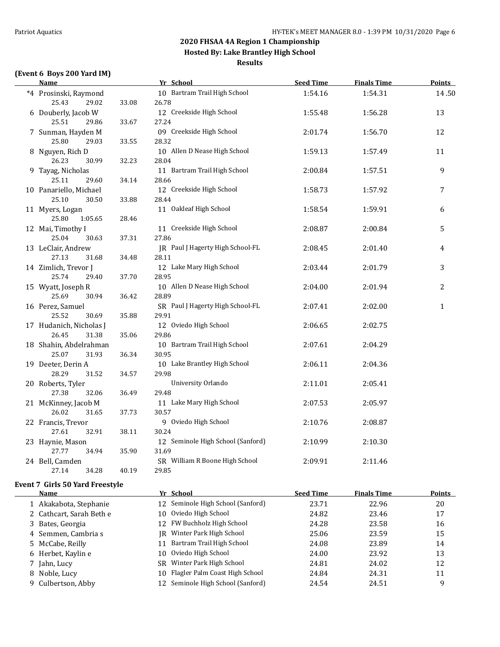**Hosted By: Lake Brantley High School**

**Results**

#### **(Event 6 Boys 200 Yard IM)**

|   | <b>Name</b>                                           |                | Yr School                                      | <b>Seed Time</b> | <b>Finals Time</b> | <b>Points</b> |
|---|-------------------------------------------------------|----------------|------------------------------------------------|------------------|--------------------|---------------|
|   | *4 Prosinski, Raymond                                 |                | 10 Bartram Trail High School                   | 1:54.16          | 1:54.31            | 14.50         |
|   | 25.43<br>29.02<br>6 Douberly, Jacob W                 | 33.08          | 26.78<br>12 Creekside High School              | 1:55.48          | 1:56.28            | 13            |
|   | 25.51<br>29.86<br>7 Sunman, Hayden M                  | 33.67          | 27.24<br>09 Creekside High School              | 2:01.74          | 1:56.70            | 12            |
|   | 25.80<br>29.03<br>8 Nguyen, Rich D<br>26.23<br>30.99  | 33.55<br>32.23 | 28.32<br>10 Allen D Nease High School<br>28.04 | 1:59.13          | 1:57.49            | 11            |
|   | 9 Tayag, Nicholas<br>25.11<br>29.60                   | 34.14          | 11 Bartram Trail High School<br>28.66          | 2:00.84          | 1:57.51            | 9             |
|   | 10 Panariello, Michael<br>25.10<br>30.50              | 33.88          | 12 Creekside High School<br>28.44              | 1:58.73          | 1:57.92            | 7             |
|   | 11 Myers, Logan<br>25.80<br>1:05.65                   | 28.46          | 11 Oakleaf High School                         | 1:58.54          | 1:59.91            | 6             |
|   | 12 Mai, Timothy I<br>25.04<br>30.63                   | 37.31          | 11 Creekside High School<br>27.86              | 2:08.87          | 2:00.84            | 5             |
|   | 13 LeClair, Andrew<br>27.13<br>31.68                  | 34.48          | JR Paul J Hagerty High School-FL<br>28.11      | 2:08.45          | 2:01.40            | 4             |
|   | 14 Zimlich, Trevor J<br>25.74<br>29.40                | 37.70          | 12 Lake Mary High School<br>28.95              | 2:03.44          | 2:01.79            | 3             |
|   | 15 Wyatt, Joseph R<br>25.69<br>30.94                  | 36.42          | 10 Allen D Nease High School<br>28.89          | 2:04.00          | 2:01.94            | 2             |
|   | 16 Perez, Samuel<br>25.52<br>30.69                    | 35.88          | SR Paul J Hagerty High School-FL<br>29.91      | 2:07.41          | 2:02.00            | $\mathbf{1}$  |
|   | 17 Hudanich, Nicholas J<br>26.45<br>31.38             | 35.06          | 12 Oviedo High School<br>29.86                 | 2:06.65          | 2:02.75            |               |
|   | 18 Shahin, Abdelrahman<br>25.07<br>31.93              | 36.34          | 10 Bartram Trail High School<br>30.95          | 2:07.61          | 2:04.29            |               |
|   | 19 Deeter, Derin A<br>28.29<br>31.52                  | 34.57          | 10 Lake Brantley High School<br>29.98          | 2:06.11          | 2:04.36            |               |
|   | 20 Roberts, Tyler<br>27.38<br>32.06                   | 36.49          | University Orlando<br>29.48                    | 2:11.01          | 2:05.41            |               |
|   | 21 McKinney, Jacob M<br>26.02<br>31.65                | 37.73          | 11 Lake Mary High School<br>30.57              | 2:07.53          | 2:05.97            |               |
|   | 22 Francis, Trevor<br>27.61<br>32.91                  | 38.11          | 9 Oviedo High School<br>30.24                  | 2:10.76          | 2:08.87            |               |
|   | 23 Haynie, Mason<br>27.77<br>34.94                    | 35.90          | 12 Seminole High School (Sanford)<br>31.69     | 2:10.99          | 2:10.30            |               |
|   | 24 Bell, Camden<br>27.14<br>34.28                     | 40.19          | SR William R Boone High School<br>29.85        | 2:09.91          | 2:11.46            |               |
|   | <b>Event 7 Girls 50 Yard Freestyle</b><br><b>Name</b> |                | Yr School                                      | <b>Seed Time</b> | <b>Finals Time</b> | <b>Points</b> |
|   | 1 Akakabota, Stephanie                                |                | 12 Seminole High School (Sanford)              | 23.71            | 22.96              | 20            |
|   | 2 Cathcart, Sarah Beth e                              |                | Oviedo High School<br>10                       | 24.82            | 23.46              | 17            |
|   | 3 Bates, Georgia                                      |                | FW Buchholz High School<br>12                  | 24.28            | 23.58              | 16            |
|   | Semmen, Cambria s                                     |                | Winter Park High School<br>IR                  | 25.06            | 23.59              | 15            |
| 4 | McCabe, Reilly                                        |                | Bartram Trail High School                      | 24.08            |                    |               |
| 5 |                                                       |                | 11<br>Oviedo High School                       |                  | 23.89              | 14            |
| 6 | Herbet, Kaylin e                                      |                | 10<br>SR Winter Park High School               | 24.00            | 23.92              | 13            |
|   | 7 Jahn, Lucy                                          |                |                                                | 24.81            | 24.02              | 12            |
|   | 8 Noble, Lucy                                         |                | 10 Flagler Palm Coast High School              | 24.84            | 24.31              | 11            |

9 Culbertson, Abby 12 Seminole High School (Sanford) 24.54 24.51 9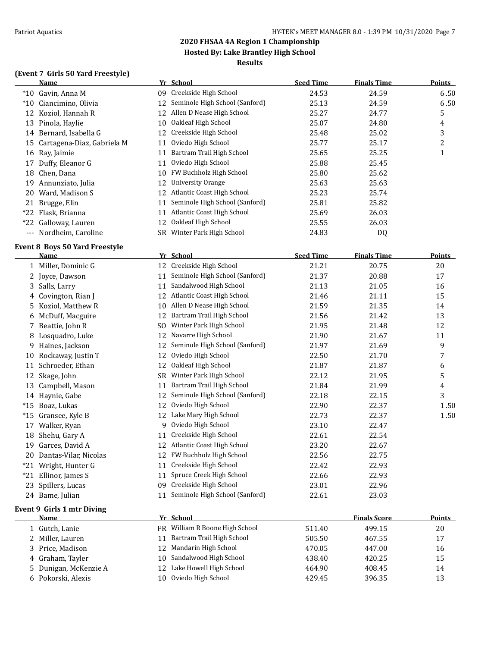### **2020 FHSAA 4A Region 1 Championship Hosted By: Lake Brantley High School**

#### **Results**

#### **(Event 7 Girls 50 Yard Freestyle)**

|       | Name                       |     | Yr School                      | <b>Seed Time</b> | <b>Finals Time</b> | <b>Points</b> |
|-------|----------------------------|-----|--------------------------------|------------------|--------------------|---------------|
| $*10$ | Gavin, Anna M              | 09. | Creekside High School          | 24.53            | 24.59              | 6.50          |
| $*10$ | Ciancimino, Olivia         | 12  | Seminole High School (Sanford) | 25.13            | 24.59              | 6.50          |
| 12.   | Koziol, Hannah R           | 12  | Allen D Nease High School      | 25.27            | 24.77              | 5             |
| 13    | Pinola, Haylie             | 10  | Oakleaf High School            | 25.07            | 24.80              | 4             |
|       | 14 Bernard, Isabella G     |     | 12 Creekside High School       | 25.48            | 25.02              | 3             |
| 15    | Cartagena-Diaz, Gabriela M | 11  | Oviedo High School             | 25.77            | 25.17              | 2             |
|       | 16 Ray, Jaimie             | 11  | Bartram Trail High School      | 25.65            | 25.25              |               |
| 17    | Duffy, Eleanor G           | 11  | Oviedo High School             | 25.88            | 25.45              |               |
| 18    | Chen, Dana                 | 10  | FW Buchholz High School        | 25.80            | 25.62              |               |
| 19    | Annunziato, Julia          | 12  | University Orange              | 25.63            | 25.63              |               |
| 20.   | Ward, Madison S            |     | 12 Atlantic Coast High School  | 25.23            | 25.74              |               |
| 21    | Brugge, Elin               | 11  | Seminole High School (Sanford) | 25.81            | 25.82              |               |
|       | *22 Flask, Brianna         | 11  | Atlantic Coast High School     | 25.69            | 26.03              |               |
| $*22$ | Galloway, Lauren           | 12  | Oakleaf High School            | 25.55            | 26.03              |               |
| $---$ | Nordheim, Caroline         | SR. | Winter Park High School        | 24.83            | D <sub>0</sub>     |               |

#### **Event 8 Boys 50 Yard Freestyle**

| <b>Name</b>           |                                                                                                                           |                                | <b>Seed Time</b> | <b>Finals Time</b> | <b>Points</b> |
|-----------------------|---------------------------------------------------------------------------------------------------------------------------|--------------------------------|------------------|--------------------|---------------|
|                       | 12                                                                                                                        | Creekside High School          | 21.21            | 20.75              | 20            |
|                       | 11                                                                                                                        | Seminole High School (Sanford) | 21.37            | 20.88              | 17            |
| Salls, Larry          | 11                                                                                                                        | Sandalwood High School         | 21.13            | 21.05              | 16            |
| Covington, Rian J     | 12                                                                                                                        | Atlantic Coast High School     | 21.46            | 21.11              | 15            |
| Koziol, Matthew R     | 10                                                                                                                        | Allen D Nease High School      | 21.59            | 21.35              | 14            |
|                       | 12                                                                                                                        | Bartram Trail High School      | 21.56            | 21.42              | 13            |
| Beattie, John R       | SO.                                                                                                                       | Winter Park High School        | 21.95            | 21.48              | 12            |
| Losquadro, Luke       | 12                                                                                                                        | Navarre High School            | 21.90            | 21.67              | 11            |
| Haines, Jackson       | 12                                                                                                                        | Seminole High School (Sanford) | 21.97            | 21.69              | 9             |
| Rockaway, Justin T    | 12                                                                                                                        | Oviedo High School             | 22.50            | 21.70              | 7             |
| Schroeder, Ethan      | 12                                                                                                                        | Oakleaf High School            | 21.87            | 21.87              | 6             |
| Skage, John           | <b>SR</b>                                                                                                                 | Winter Park High School        | 22.12            | 21.95              | 5             |
| Campbell, Mason       | 11                                                                                                                        | Bartram Trail High School      | 21.84            | 21.99              | 4             |
| Haynie, Gabe          | 12                                                                                                                        | Seminole High School (Sanford) | 22.18            | 22.15              | 3             |
| Boaz, Lukas           | 12                                                                                                                        | Oviedo High School             | 22.90            | 22.37              | 1.50          |
| Gransee, Kyle B       | 12                                                                                                                        | Lake Mary High School          | 22.73            | 22.37              | 1.50          |
| Walker, Ryan          | 9                                                                                                                         | Oviedo High School             | 23.10            | 22.47              |               |
| Shehu, Gary A         | 11                                                                                                                        | Creekside High School          | 22.61            | 22.54              |               |
| Garces, David A       | 12                                                                                                                        | Atlantic Coast High School     | 23.20            | 22.67              |               |
| Dantas-Vilar, Nicolas | 12                                                                                                                        | FW Buchholz High School        | 22.56            | 22.75              |               |
| Wright, Hunter G      | 11                                                                                                                        | Creekside High School          | 22.42            | 22.93              |               |
| Ellinor, James S      | 11                                                                                                                        | Spruce Creek High School       | 22.66            | 22.93              |               |
| Spillers, Lucas       | 09                                                                                                                        | Creekside High School          | 23.01            | 22.96              |               |
|                       | 11                                                                                                                        | Seminole High School (Sanford) | 22.61            | 23.03              |               |
|                       | 1 Miller, Dominic G<br>2 Joyce, Dawson<br>3<br>4<br>5.<br>6 McDuff, Macguire<br>7<br>11<br>$*21$<br>23<br>24 Bame, Julian |                                | Yr School        |                    |               |

#### **Event 9 Girls 1 mtr Diving**

| Name                  | Yr School                               |        | <b>Finals Score</b> | <b>Points</b> |
|-----------------------|-----------------------------------------|--------|---------------------|---------------|
| 1 Gutch, Lanie        | FR William R Boone High School          | 511.40 | 499.15              | 20            |
| 2 Miller, Lauren      | Bartram Trail High School<br>11         | 505.50 | 467.55              | 17            |
| 3 Price, Madison      | Mandarin High School<br>12 <sup>1</sup> | 470.05 | 447.00              | 16            |
| 4 Graham, Tayler      | 10 Sandalwood High School               | 438.40 | 420.25              | 15            |
| 5 Dunigan, McKenzie A | Lake Howell High School<br>12           | 464.90 | 408.45              | 14            |
| 6 Pokorski, Alexis    | Oviedo High School<br>10                | 429.45 | 396.35              | 13            |
|                       |                                         |        |                     |               |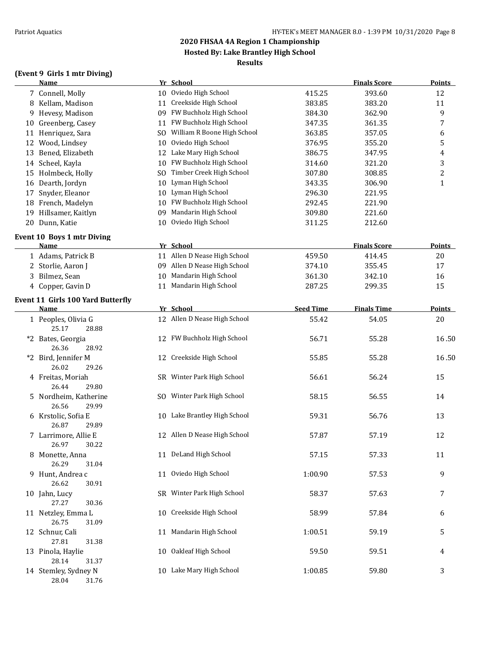## **Hosted By: Lake Brantley High School**

## **Results**

| (Event 9 Girls 1 mtr Diving) |  |  |  |
|------------------------------|--|--|--|
|------------------------------|--|--|--|

|    | <b>Name</b>                                      |     | Yr School                    |                  | <b>Finals Score</b> | Points           |
|----|--------------------------------------------------|-----|------------------------------|------------------|---------------------|------------------|
|    | 7 Connell, Molly                                 |     | 10 Oviedo High School        | 415.25           | 393.60              | 12               |
|    | 8 Kellam, Madison                                | 11  | Creekside High School        | 383.85           | 383.20              | 11               |
| 9  | Hevesy, Madison                                  |     | 09 FW Buchholz High School   | 384.30           | 362.90              | 9                |
| 10 | Greenberg, Casey                                 | 11  | FW Buchholz High School      | 347.35           | 361.35              | $\boldsymbol{7}$ |
| 11 | Henriquez, Sara                                  | SO. | William R Boone High School  | 363.85           | 357.05              | 6                |
| 12 | Wood, Lindsey                                    | 10  | Oviedo High School           | 376.95           | 355.20              | 5                |
| 13 | Bened, Elizabeth                                 | 12  | Lake Mary High School        | 386.75           | 347.95              | 4                |
|    | 14 Scheel, Kayla                                 | 10  | FW Buchholz High School      | 314.60           | 321.20              | 3                |
|    | 15 Holmbeck, Holly                               | SO. | Timber Creek High School     | 307.80           | 308.85              | $\overline{c}$   |
|    | 16 Dearth, Jordyn                                | 10  | Lyman High School            | 343.35           | 306.90              | $\mathbf{1}$     |
| 17 | Snyder, Eleanor                                  | 10  | Lyman High School            | 296.30           | 221.95              |                  |
| 18 | French, Madelyn                                  | 10  | FW Buchholz High School      | 292.45           | 221.90              |                  |
| 19 | Hillsamer, Kaitlyn                               | 09  | Mandarin High School         | 309.80           | 221.60              |                  |
|    | 20 Dunn, Katie                                   | 10  | Oviedo High School           | 311.25           | 212.60              |                  |
|    | <b>Event 10 Boys 1 mtr Diving</b>                |     |                              |                  |                     |                  |
|    | Name                                             |     | Yr School                    |                  | <b>Finals Score</b> | Points           |
|    | 1 Adams, Patrick B                               |     | 11 Allen D Nease High School | 459.50           | 414.45              | 20               |
| 2  | Storlie, Aaron J                                 |     | 09 Allen D Nease High School | 374.10           | 355.45              | 17               |
| 3  | Bilmez, Sean                                     | 10  | Mandarin High School         | 361.30           | 342.10              | 16               |
|    | 4 Copper, Gavin D                                |     | 11 Mandarin High School      | 287.25           | 299.35              | 15               |
|    |                                                  |     |                              |                  |                     |                  |
|    | <b>Event 11 Girls 100 Yard Butterfly</b><br>Name |     | Yr School                    | <b>Seed Time</b> | <b>Finals Time</b>  | <b>Points</b>    |
|    | 1 Peoples, Olivia G                              |     | 12 Allen D Nease High School | 55.42            | 54.05               | 20               |
|    | 25.17<br>28.88                                   |     |                              |                  |                     |                  |
|    | *2 Bates, Georgia<br>26.36<br>28.92              |     | 12 FW Buchholz High School   | 56.71            | 55.28               | 16.50            |
|    | *2 Bird, Jennifer M<br>26.02<br>29.26            |     | 12 Creekside High School     | 55.85            | 55.28               | 16.50            |
|    | 4 Freitas, Moriah<br>26.44<br>29.80              |     | SR Winter Park High School   | 56.61            | 56.24               | 15               |
|    | 5 Nordheim, Katherine<br>26.56<br>29.99          |     | SO Winter Park High School   | 58.15            | 56.55               | 14               |
|    | 6 Krstolic, Sofia E<br>26.87<br>29.89            |     | 10 Lake Brantley High School | 59.31            | 56.76               | 13               |
|    | 7 Larrimore, Allie E<br>26.97<br>30.22           |     | 12 Allen D Nease High School | 57.87            | 57.19               | 12               |
|    | 8 Monette, Anna<br>26.29<br>31.04                |     | 11 DeLand High School        | 57.15            | 57.33               | 11               |
|    | 9 Hunt, Andrea c<br>26.62<br>30.91               |     | 11 Oviedo High School        | 1:00.90          | 57.53               | 9                |
|    | 10 Jahn, Lucy<br>27.27<br>30.36                  |     | SR Winter Park High School   | 58.37            | 57.63               | 7                |
|    | 11 Netzley, Emma L<br>26.75<br>31.09             |     | 10 Creekside High School     | 58.99            | 57.84               | 6                |
|    | 12 Schnur, Cali<br>27.81<br>31.38                |     | 11 Mandarin High School      | 1:00.51          | 59.19               | 5                |
|    | 13 Pinola, Haylie<br>28.14<br>31.37              |     | 10 Oakleaf High School       | 59.50            | 59.51               | 4                |
|    | 14 Stemley, Sydney N<br>28.04<br>31.76           |     | 10 Lake Mary High School     | 1:00.85          | 59.80               | 3                |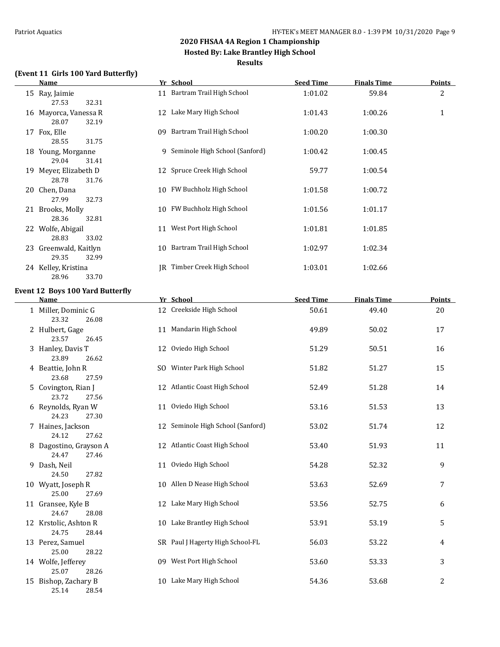#### **2020 FHSAA 4A Region 1 Championship Hosted By: Lake Brantley High School**

#### **Results**

#### **(Event 11 Girls 100 Yard Butterfly)**

| <b>Name</b>                             | Yr School                         | <b>Seed Time</b> | <b>Finals Time</b> | <b>Points</b>  |
|-----------------------------------------|-----------------------------------|------------------|--------------------|----------------|
| 15 Ray, Jaimie<br>27.53<br>32.31        | 11 Bartram Trail High School      | 1:01.02          | 59.84              | $\overline{c}$ |
| 16 Mayorca, Vanessa R<br>28.07<br>32.19 | 12 Lake Mary High School          | 1:01.43          | 1:00.26            | $\mathbf{1}$   |
| 17 Fox, Elle<br>28.55<br>31.75          | 09 Bartram Trail High School      | 1:00.20          | 1:00.30            |                |
| 18 Young, Morganne<br>29.04<br>31.41    | 9 Seminole High School (Sanford)  | 1:00.42          | 1:00.45            |                |
| 19 Meyer, Elizabeth D<br>28.78<br>31.76 | 12 Spruce Creek High School       | 59.77            | 1:00.54            |                |
| 20 Chen, Dana<br>27.99<br>32.73         | 10 FW Buchholz High School        | 1:01.58          | 1:00.72            |                |
| 21 Brooks, Molly<br>28.36<br>32.81      | 10 FW Buchholz High School        | 1:01.56          | 1:01.17            |                |
| 22 Wolfe, Abigail<br>28.83<br>33.02     | 11 West Port High School          | 1:01.81          | 1:01.85            |                |
| 23 Greenwald, Kaitlyn<br>29.35<br>32.99 | 10 Bartram Trail High School      | 1:02.97          | 1:02.34            |                |
| 24 Kelley, Kristina<br>28.96<br>33.70   | IR Timber Creek High School       | 1:03.01          | 1:02.66            |                |
| <b>Event 12 Boys 100 Yard Butterfly</b> |                                   |                  |                    |                |
| <b>Name</b>                             | Yr School                         | <b>Seed Time</b> | <b>Finals Time</b> | <b>Points</b>  |
| 1 Miller, Dominic G<br>23.32<br>26.08   | 12 Creekside High School          | 50.61            | 49.40              | 20             |
| 2 Hulbert, Gage<br>23.57<br>26.45       | 11 Mandarin High School           | 49.89            | 50.02              | 17             |
| 3 Hanley, Davis T<br>23.89<br>26.62     | 12 Oviedo High School             | 51.29            | 50.51              | 16             |
| 4 Beattie, John R<br>23.68<br>27.59     | SO Winter Park High School        | 51.82            | 51.27              | 15             |
| 5 Covington, Rian J<br>23.72<br>27.56   | 12 Atlantic Coast High School     | 52.49            | 51.28              | 14             |
| 6 Reynolds, Ryan W<br>24.23<br>27.30    | 11 Oviedo High School             | 53.16            | 51.53              | 13             |
| 7 Haines, Jackson<br>27.62<br>24.12     | 12 Seminole High School (Sanford) | 53.02            | 51.74              | 12             |

8 Dagostino, Grayson A 12 Atlantic Coast High School 53.40 51.93 11 24.47 27.46 9 Dash, Neil 11 Oviedo High School 54.28 52.32 9 24.50 27.82 10 Wyatt, Joseph R 10 Allen D Nease High School 53.63 52.69 52.69 7 25.00 27.69 11 Gransee, Kyle B 12 Lake Mary High School 53.56 52.75 6 24.67 28.08 12 Krstolic, Ashton R 10 Lake Brantley High School 53.91 53.19 53.19 24.75 28.44

25.07 28.26 25.14 28.54

| $12$ $\mu$ $300\mu$ , $\mu$ $300\mu$ $\mu$ |       | 10 Bane Brancrey High Benoor     | JJ.J. | JJ.L. | ັ |
|--------------------------------------------|-------|----------------------------------|-------|-------|---|
| 24.75                                      | 28.44 |                                  |       |       |   |
| 13 Perez, Samuel                           |       | SR Paul J Hagerty High School-FL | 56.03 | 53.22 | 4 |
| 25.00                                      | 28.22 |                                  |       |       |   |
| 14 Wolfe, Jefferey                         |       | 09 West Port High School         | 53.60 | 53.33 | 3 |
| 25.07                                      | 28.26 |                                  |       |       |   |
| 15 Bishop, Zachary B                       |       | 10 Lake Mary High School         | 54.36 | 53.68 | 2 |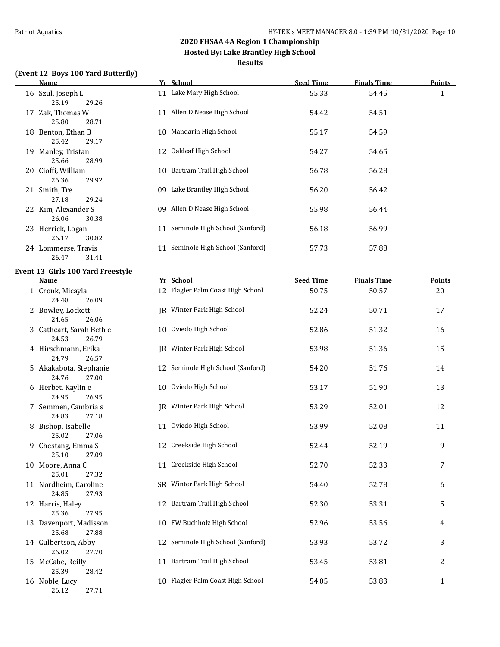**Hosted By: Lake Brantley High School**

#### **Results**

#### **(Event 12 Boys 100 Yard Butterfly)**

|    | Name                |    | Yr School                      | <b>Seed Time</b> | <b>Finals Time</b> | <b>Points</b> |
|----|---------------------|----|--------------------------------|------------------|--------------------|---------------|
|    | 16 Szul, Joseph L   |    | 11 Lake Mary High School       | 55.33            | 54.45              | $\mathbf{1}$  |
|    | 25.19<br>29.26      |    |                                |                  |                    |               |
| 17 | Zak, Thomas W       | 11 | Allen D Nease High School      | 54.42            | 54.51              |               |
|    | 25.80<br>28.71      |    |                                |                  |                    |               |
| 18 | Benton, Ethan B     | 10 | Mandarin High School           | 55.17            | 54.59              |               |
|    | 25.42<br>29.17      |    |                                |                  |                    |               |
| 19 | Manley, Tristan     | 12 | Oakleaf High School            | 54.27            | 54.65              |               |
|    | 25.66<br>28.99      |    |                                |                  |                    |               |
|    | 20 Cioffi, William  |    | 10 Bartram Trail High School   | 56.78            | 56.28              |               |
|    | 26.36<br>29.92      |    |                                |                  |                    |               |
|    | 21 Smith, Tre       | 09 | Lake Brantley High School      | 56.20            | 56.42              |               |
|    | 27.18<br>29.24      |    |                                |                  |                    |               |
|    |                     |    |                                |                  |                    |               |
|    | 22 Kim, Alexander S | 09 | Allen D Nease High School      | 55.98            | 56.44              |               |
|    | 30.38<br>26.06      |    |                                |                  |                    |               |
| 23 | Herrick, Logan      | 11 | Seminole High School (Sanford) | 56.18            | 56.99              |               |
|    | 26.17<br>30.82      |    |                                |                  |                    |               |
| 24 | Lommerse, Travis    | 11 | Seminole High School (Sanford) | 57.73            | 57.88              |               |
|    | 31.41<br>26.47      |    |                                |                  |                    |               |

#### **Event 13 Girls 100 Yard Freestyle**

| Name                                       | Yr School                         | <b>Seed Time</b> | <b>Finals Time</b> | <b>Points</b>  |
|--------------------------------------------|-----------------------------------|------------------|--------------------|----------------|
| 1 Cronk, Micayla<br>24.48<br>26.09         | 12 Flagler Palm Coast High School | 50.75            | 50.57              | 20             |
| 2 Bowley, Lockett<br>24.65<br>26.06        | JR Winter Park High School        | 52.24            | 50.71              | 17             |
| 3 Cathcart, Sarah Beth e<br>24.53<br>26.79 | 10 Oviedo High School             | 52.86            | 51.32              | 16             |
| 4 Hirschmann, Erika<br>24.79<br>26.57      | JR Winter Park High School        | 53.98            | 51.36              | 15             |
| 5 Akakabota, Stephanie<br>24.76<br>27.00   | 12 Seminole High School (Sanford) | 54.20            | 51.76              | 14             |
| 6 Herbet, Kaylin e<br>24.95<br>26.95       | 10 Oviedo High School             | 53.17            | 51.90              | 13             |
| 7 Semmen, Cambria s<br>24.83<br>27.18      | JR Winter Park High School        | 53.29            | 52.01              | 12             |
| 8 Bishop, Isabelle<br>25.02<br>27.06       | 11 Oviedo High School             | 53.99            | 52.08              | 11             |
| 9 Chestang, Emma S<br>25.10<br>27.09       | 12 Creekside High School          | 52.44            | 52.19              | 9              |
| 10 Moore, Anna C<br>25.01<br>27.32         | 11 Creekside High School          | 52.70            | 52.33              | 7              |
| 11 Nordheim, Caroline<br>24.85<br>27.93    | SR Winter Park High School        | 54.40            | 52.78              | 6              |
| 12 Harris, Haley<br>25.36<br>27.95         | 12 Bartram Trail High School      | 52.30            | 53.31              | 5              |
| 13 Davenport, Madisson<br>25.68<br>27.88   | 10 FW Buchholz High School        | 52.96            | 53.56              | 4              |
| 14 Culbertson, Abby<br>26.02<br>27.70      | 12 Seminole High School (Sanford) | 53.93            | 53.72              | 3              |
| 15 McCabe, Reilly<br>25.39<br>28.42        | 11 Bartram Trail High School      | 53.45            | 53.81              | $\overline{c}$ |
| 16 Noble, Lucy<br>26.12<br>27.71           | 10 Flagler Palm Coast High School | 54.05            | 53.83              | 1              |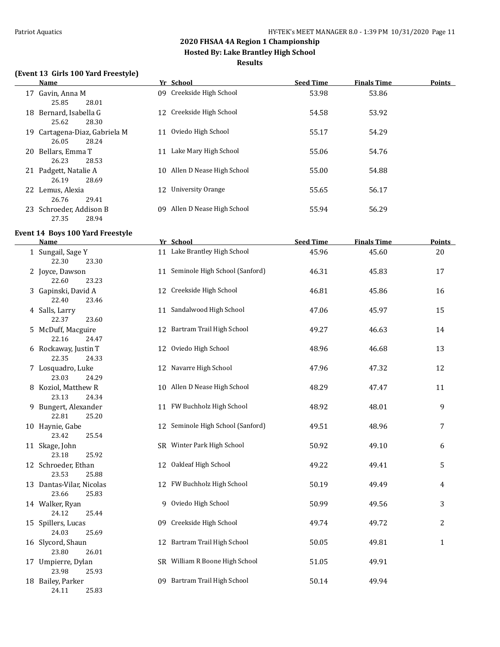**Hosted By: Lake Brantley High School**

#### **Results**

#### **(Event 13 Girls 100 Yard Freestyle)**

|     | Name                       |     | Yr School                 | <b>Seed Time</b> | <b>Finals Time</b> | <b>Points</b> |
|-----|----------------------------|-----|---------------------------|------------------|--------------------|---------------|
| 17  | Gavin, Anna M              |     | 09 Creekside High School  | 53.98            | 53.86              |               |
|     | 25.85<br>28.01             |     |                           |                  |                    |               |
| 18  | Bernard, Isabella G        |     | 12 Creekside High School  | 54.58            | 53.92              |               |
|     | 25.62<br>28.30             |     |                           |                  |                    |               |
| 19. | Cartagena-Diaz, Gabriela M | 11  | Oviedo High School        | 55.17            | 54.29              |               |
|     | 26.05<br>28.24             |     |                           |                  |                    |               |
| 20  | Bellars, Emma T            | 11  | Lake Mary High School     | 55.06            | 54.76              |               |
|     | 26.23<br>28.53             |     |                           |                  |                    |               |
|     | 21 Padgett, Natalie A      | 10. | Allen D Nease High School | 55.00            | 54.88              |               |
|     | 26.19<br>28.69             |     |                           |                  |                    |               |
|     | 22 Lemus, Alexia           | 12  | <b>University Orange</b>  | 55.65            | 56.17              |               |
|     | 29.41<br>26.76             |     |                           |                  |                    |               |
| 23. | Schroeder, Addison B       | 09  | Allen D Nease High School | 55.94            | 56.29              |               |
|     | 27.35<br>28.94             |     |                           |                  |                    |               |
|     |                            |     |                           |                  |                    |               |

#### **Event 14 Boys 100 Yard Freestyle**

| <b>Name</b>                                | Yr School                         | <b>Seed Time</b> | <b>Finals Time</b> | <b>Points</b> |
|--------------------------------------------|-----------------------------------|------------------|--------------------|---------------|
| 1 Sungail, Sage Y<br>22.30<br>23.30        | 11 Lake Brantley High School      | 45.96            | 45.60              | 20            |
| 2 Joyce, Dawson<br>22.60<br>23.23          | 11 Seminole High School (Sanford) | 46.31            | 45.83              | 17            |
| 3 Gapinski, David A<br>22.40<br>23.46      | 12 Creekside High School          | 46.81            | 45.86              | 16            |
| 4 Salls, Larry<br>22.37<br>23.60           | 11 Sandalwood High School         | 47.06            | 45.97              | 15            |
| 5 McDuff, Macguire<br>22.16<br>24.47       | 12 Bartram Trail High School      | 49.27            | 46.63              | 14            |
| 6 Rockaway, Justin T<br>22.35<br>24.33     | 12 Oviedo High School             | 48.96            | 46.68              | 13            |
| 7 Losquadro, Luke<br>23.03<br>24.29        | 12 Navarre High School            | 47.96            | 47.32              | 12            |
| 8 Koziol, Matthew R<br>23.13<br>24.34      | 10 Allen D Nease High School      | 48.29            | 47.47              | 11            |
| 9 Bungert, Alexander<br>22.81<br>25.20     | 11 FW Buchholz High School        | 48.92            | 48.01              | 9             |
| 10 Haynie, Gabe<br>23.42<br>25.54          | 12 Seminole High School (Sanford) | 49.51            | 48.96              | 7             |
| 11 Skage, John<br>23.18<br>25.92           | SR Winter Park High School        | 50.92            | 49.10              | 6             |
| 12 Schroeder, Ethan<br>23.53<br>25.88      | 12 Oakleaf High School            | 49.22            | 49.41              | 5             |
| 13 Dantas-Vilar, Nicolas<br>23.66<br>25.83 | 12 FW Buchholz High School        | 50.19            | 49.49              | 4             |
| 14 Walker, Ryan<br>24.12<br>25.44          | 9 Oviedo High School              | 50.99            | 49.56              | 3             |
| 15 Spillers, Lucas<br>24.03<br>25.69       | 09 Creekside High School          | 49.74            | 49.72              | 2             |
| 16 Slycord, Shaun<br>23.80<br>26.01        | 12 Bartram Trail High School      | 50.05            | 49.81              | $\mathbf{1}$  |
| 17 Umpierre, Dylan<br>23.98<br>25.93       | SR William R Boone High School    | 51.05            | 49.91              |               |
| 18 Bailey, Parker<br>24.11<br>25.83        | 09 Bartram Trail High School      | 50.14            | 49.94              |               |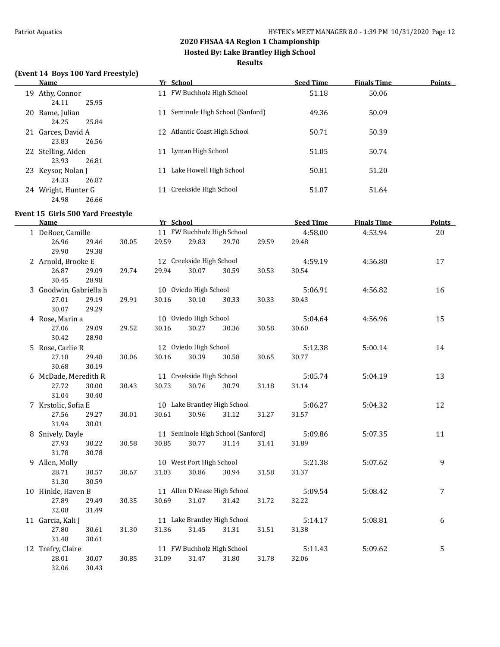**Hosted By: Lake Brantley High School**

#### **Results**

#### **(Event 14 Boys 100 Yard Freestyle)**

| Name                                      | Yr School                            | <b>Seed Time</b> | <b>Finals Time</b> | Points |
|-------------------------------------------|--------------------------------------|------------------|--------------------|--------|
| Athy, Connor<br>19.                       | 11 FW Buchholz High School           | 51.18            | 50.06              |        |
| 25.95<br>24.11<br>20 Bame, Julian         | Seminole High School (Sanford)<br>11 | 49.36            | 50.09              |        |
| 24.25<br>25.84                            |                                      |                  |                    |        |
| 21 Garces, David A                        | Atlantic Coast High School<br>12.    | 50.71            | 50.39              |        |
| 23.83<br>26.56<br>22 Stelling, Aiden      | Lyman High School<br>11              | 51.05            | 50.74              |        |
| 26.81<br>23.93                            |                                      |                  |                    |        |
| 23 Keysor, Nolan J                        | Lake Howell High School<br>11        | 50.81            | 51.20              |        |
| 24.33<br>26.87                            |                                      |                  |                    |        |
| Wright, Hunter G<br>24.<br>24.98<br>26.66 | Creekside High School                | 51.07            | 51.64              |        |

### **Event 15 Girls 500 Yard Freestyle**

 $\overline{\phantom{0}}$ 

| <b>Name</b>            |       |       | Yr School |                          |                                   |       | <b>Seed Time</b> | <b>Finals Time</b> | <b>Points</b> |
|------------------------|-------|-------|-----------|--------------------------|-----------------------------------|-------|------------------|--------------------|---------------|
| 1 DeBoer, Camille      |       |       |           |                          | 11 FW Buchholz High School        |       | 4:58.00          | 4:53.94            | 20            |
| 26.96                  | 29.46 | 30.05 | 29.59     | 29.83                    | 29.70                             | 29.59 | 29.48            |                    |               |
| 29.90                  | 29.38 |       |           |                          |                                   |       |                  |                    |               |
| 2 Arnold, Brooke E     |       |       |           | 12 Creekside High School |                                   |       | 4:59.19          | 4:56.80            | 17            |
| 26.87                  | 29.09 | 29.74 | 29.94     | 30.07                    | 30.59                             | 30.53 | 30.54            |                    |               |
| 30.45                  | 28.98 |       |           |                          |                                   |       |                  |                    |               |
| 3 Goodwin, Gabriella h |       |       |           | 10 Oviedo High School    |                                   |       | 5:06.91          | 4:56.82            | 16            |
| 27.01                  | 29.19 | 29.91 | 30.16     | 30.10                    | 30.33                             | 30.33 | 30.43            |                    |               |
| 30.07                  | 29.29 |       |           |                          |                                   |       |                  |                    |               |
| 4 Rose, Marin a        |       |       |           | 10 Oviedo High School    |                                   |       | 5:04.64          | 4:56.96            | 15            |
| 27.06                  | 29.09 | 29.52 | 30.16     | 30.27                    | 30.36                             | 30.58 | 30.60            |                    |               |
| 30.42                  | 28.90 |       |           |                          |                                   |       |                  |                    |               |
| 5 Rose, Carlie R       |       |       |           | 12 Oviedo High School    |                                   |       | 5:12.38          | 5:00.14            | 14            |
| 27.18                  | 29.48 | 30.06 | 30.16     | 30.39                    | 30.58                             | 30.65 | 30.77            |                    |               |
| 30.68                  | 30.19 |       |           |                          |                                   |       |                  |                    |               |
| 6 McDade, Meredith R   |       |       |           | 11 Creekside High School |                                   |       | 5:05.74          | 5:04.19            | 13            |
| 27.72                  | 30.00 | 30.43 | 30.73     | 30.76                    | 30.79                             | 31.18 | 31.14            |                    |               |
| 31.04                  | 30.40 |       |           |                          |                                   |       |                  |                    |               |
| 7 Krstolic, Sofia E    |       |       |           |                          | 10 Lake Brantley High School      |       | 5:06.27          | 5:04.32            | 12            |
| 27.56                  | 29.27 | 30.01 | 30.61     | 30.96                    | 31.12                             | 31.27 | 31.57            |                    |               |
| 31.94                  | 30.01 |       |           |                          |                                   |       |                  |                    |               |
| 8 Snively, Dayle       |       |       |           |                          | 11 Seminole High School (Sanford) |       | 5:09.86          | 5:07.35            | 11            |
| 27.93                  | 30.22 | 30.58 | 30.85     | 30.77                    | 31.14                             | 31.41 | 31.89            |                    |               |
| 31.78                  | 30.78 |       |           |                          |                                   |       |                  |                    |               |
| 9 Allen, Molly         |       |       |           | 10 West Port High School |                                   |       | 5:21.38          | 5:07.62            | 9             |
| 28.71                  | 30.57 | 30.67 | 31.03     | 30.86                    | 30.94                             | 31.58 | 31.37            |                    |               |
| 31.30                  | 30.59 |       |           |                          |                                   |       |                  |                    |               |
| 10 Hinkle, Haven B     |       |       |           |                          | 11 Allen D Nease High School      |       | 5:09.54          | 5:08.42            | 7             |
| 27.89                  | 29.49 | 30.35 | 30.69     | 31.07                    | 31.42                             | 31.72 | 32.22            |                    |               |
| 32.08                  | 31.49 |       |           |                          |                                   |       |                  |                    |               |
| 11 Garcia, Kali J      |       |       |           |                          | 11 Lake Brantley High School      |       | 5:14.17          | 5:08.81            | 6             |
| 27.80                  | 30.61 | 31.30 | 31.36     | 31.45                    | 31.31                             | 31.51 | 31.38            |                    |               |
| 31.48                  | 30.61 |       |           |                          |                                   |       |                  |                    |               |
| 12 Trefry, Claire      |       |       |           |                          | 11 FW Buchholz High School        |       | 5:11.43          | 5:09.62            | 5             |
| 28.01                  | 30.07 | 30.85 | 31.09     | 31.47                    | 31.80                             | 31.78 | 32.06            |                    |               |
| 32.06                  | 30.43 |       |           |                          |                                   |       |                  |                    |               |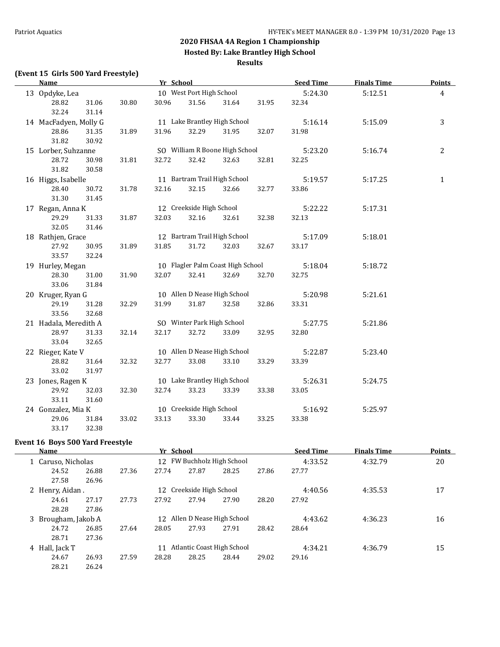**Hosted By: Lake Brantley High School**

#### **Results**

## **(Event 15 Girls 500 Yard Freestyle)**

| <b>Name</b>           |       |       | Yr School |                                   |       |       | <b>Seed Time</b> | <b>Finals Time</b> | <b>Points</b>  |
|-----------------------|-------|-------|-----------|-----------------------------------|-------|-------|------------------|--------------------|----------------|
| 13 Opdyke, Lea        |       |       |           | 10 West Port High School          |       |       |                  | 5:12.51            | $\overline{4}$ |
| 28.82                 | 31.06 | 30.80 | 30.96     | 31.56                             | 31.64 | 31.95 | 32.34            |                    |                |
| 32.24                 | 31.14 |       |           |                                   |       |       |                  |                    |                |
| 14 MacFadyen, Molly G |       |       |           | 11 Lake Brantley High School      |       |       | 5:16.14          | 5:15.09            | 3              |
| 28.86                 | 31.35 | 31.89 | 31.96     | 32.29                             | 31.95 | 32.07 | 31.98            |                    |                |
| 31.82                 | 30.92 |       |           |                                   |       |       |                  |                    |                |
| 15 Lorber, Suhzanne   |       |       |           | SO William R Boone High School    |       |       | 5:23.20          | 5:16.74            | $\overline{c}$ |
| 28.72                 | 30.98 | 31.81 | 32.72     | 32.42                             | 32.63 | 32.81 | 32.25            |                    |                |
| 31.82                 | 30.58 |       |           |                                   |       |       |                  |                    |                |
| 16 Higgs, Isabelle    |       |       |           | 11 Bartram Trail High School      |       |       | 5:19.57          | 5:17.25            | $\mathbf{1}$   |
| 28.40                 | 30.72 | 31.78 | 32.16     | 32.15                             | 32.66 | 32.77 | 33.86            |                    |                |
| 31.30                 | 31.45 |       |           |                                   |       |       |                  |                    |                |
| 17 Regan, Anna K      |       |       |           | 12 Creekside High School          |       |       | 5:22.22          | 5:17.31            |                |
| 29.29                 | 31.33 | 31.87 | 32.03     | 32.16                             | 32.61 | 32.38 | 32.13            |                    |                |
| 32.05                 | 31.46 |       |           |                                   |       |       |                  |                    |                |
| 18 Rathjen, Grace     |       |       |           | 12 Bartram Trail High School      |       |       | 5:17.09          | 5:18.01            |                |
| 27.92                 | 30.95 | 31.89 | 31.85     | 31.72                             | 32.03 | 32.67 | 33.17            |                    |                |
| 33.57                 | 32.24 |       |           |                                   |       |       |                  |                    |                |
| 19 Hurley, Megan      |       |       |           | 10 Flagler Palm Coast High School |       |       | 5:18.04          | 5:18.72            |                |
| 28.30                 | 31.00 | 31.90 | 32.07     | 32.41                             | 32.69 | 32.70 | 32.75            |                    |                |
| 33.06                 | 31.84 |       |           |                                   |       |       |                  |                    |                |
| 20 Kruger, Ryan G     |       |       |           | 10 Allen D Nease High School      |       |       | 5:20.98          | 5:21.61            |                |
| 29.19                 | 31.28 | 32.29 | 31.99     | 31.87                             | 32.58 | 32.86 | 33.31            |                    |                |
| 33.56                 | 32.68 |       |           |                                   |       |       |                  |                    |                |
| 21 Hadala, Meredith A |       |       |           | SO Winter Park High School        |       |       | 5:27.75          | 5:21.86            |                |
| 28.97                 | 31.33 | 32.14 | 32.17     | 32.72                             | 33.09 | 32.95 | 32.80            |                    |                |
| 33.04                 | 32.65 |       |           |                                   |       |       |                  |                    |                |
| 22 Rieger, Kate V     |       |       |           | 10 Allen D Nease High School      |       |       | 5:22.87          | 5:23.40            |                |
| 28.82                 | 31.64 | 32.32 | 32.77     | 33.08                             | 33.10 | 33.29 | 33.39            |                    |                |
| 33.02                 | 31.97 |       |           |                                   |       |       |                  |                    |                |
| 23 Jones, Ragen K     |       |       |           | 10 Lake Brantley High School      |       |       | 5:26.31          | 5:24.75            |                |
| 29.92                 | 32.03 | 32.30 | 32.74     | 33.23                             | 33.39 | 33.38 | 33.05            |                    |                |
| 33.11                 | 31.60 |       |           |                                   |       |       |                  |                    |                |
| 24 Gonzalez, Mia K    |       |       |           | 10 Creekside High School          |       |       | 5:16.92          | 5:25.97            |                |
| 29.06                 | 31.84 | 33.02 | 33.13     | 33.30                             | 33.44 | 33.25 | 33.38            |                    |                |
| 33.17                 | 32.38 |       |           |                                   |       |       |                  |                    |                |

#### **Event 16 Boys 500 Yard Freestyle**

 $\overline{\phantom{a}}$ 

| Name                |                    |       | Yr School |                            |                              |       | <b>Seed Time</b> | <b>Finals Time</b> | <b>Points</b> |
|---------------------|--------------------|-------|-----------|----------------------------|------------------------------|-------|------------------|--------------------|---------------|
|                     | 1 Caruso, Nicholas |       |           | 12 FW Buchholz High School |                              |       |                  | 4:32.79            | 20            |
| 24.52               | 26.88              | 27.36 | 27.74     | 27.87                      | 28.25                        | 27.86 | 27.77            |                    |               |
| 27.58               | 26.96              |       |           |                            |                              |       |                  |                    |               |
| 2 Henry, Aidan.     |                    |       |           | 12 Creekside High School   |                              |       | 4:40.56          | 4:35.53            | 17            |
| 24.61               | 27.17              | 27.73 | 27.92     | 27.94                      | 27.90                        | 28.20 | 27.92            |                    |               |
| 28.28               | 27.86              |       |           |                            |                              |       |                  |                    |               |
| 3 Brougham, Jakob A |                    |       |           |                            | 12 Allen D Nease High School |       | 4:43.62          | 4:36.23            | 16            |
| 24.72               | 26.85              | 27.64 | 28.05     | 27.93                      | 27.91                        | 28.42 | 28.64            |                    |               |
| 28.71               | 27.36              |       |           |                            |                              |       |                  |                    |               |
| 4 Hall, Jack T      |                    |       | 11        |                            | Atlantic Coast High School   |       | 4:34.21          | 4:36.79            | 15            |
| 24.67               | 26.93              | 27.59 | 28.28     | 28.25                      | 28.44                        | 29.02 | 29.16            |                    |               |
| 28.21               | 26.24              |       |           |                            |                              |       |                  |                    |               |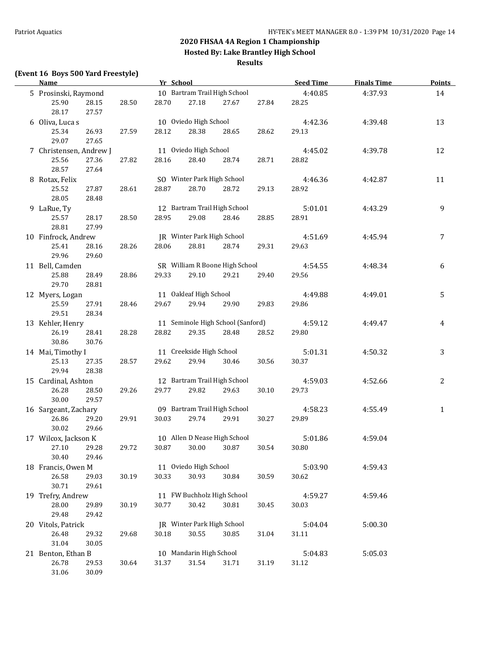**Hosted By: Lake Brantley High School**

#### **Results**

## **(Event 16 Boys 500 Yard Freestyle)**

| <b>Name</b>             |                |       | Yr School |                            |                                   |       | <b>Seed Time</b> | <b>Finals Time</b> | <b>Points</b> |
|-------------------------|----------------|-------|-----------|----------------------------|-----------------------------------|-------|------------------|--------------------|---------------|
| 5 Prosinski, Raymond    |                |       |           |                            | 10 Bartram Trail High School      |       | 4:40.85          | 4:37.93            | 14            |
| 25.90<br>28.17          | 28.15<br>27.57 | 28.50 | 28.70     | 27.18                      | 27.67                             | 27.84 | 28.25            |                    |               |
| 6 Oliva, Luca s         |                |       |           | 10 Oviedo High School      |                                   |       | 4:42.36          | 4:39.48            | 13            |
| 25.34<br>29.07          | 26.93<br>27.65 | 27.59 | 28.12     | 28.38                      | 28.65                             | 28.62 | 29.13            |                    |               |
| 7 Christensen, Andrew J |                |       |           | 11 Oviedo High School      |                                   |       | 4:45.02          | 4:39.78            | 12            |
| 25.56<br>28.57          | 27.36<br>27.64 | 27.82 | 28.16     | 28.40                      | 28.74                             | 28.71 | 28.82            |                    |               |
| 8 Rotax, Felix          |                |       |           | SO Winter Park High School |                                   |       | 4:46.36          | 4:42.87            | 11            |
| 25.52<br>28.05          | 27.87<br>28.48 | 28.61 | 28.87     | 28.70                      | 28.72                             | 29.13 | 28.92            |                    |               |
| 9 LaRue, Ty             |                |       |           |                            | 12 Bartram Trail High School      |       | 5:01.01          | 4:43.29            | 9             |
| 25.57                   | 28.17          | 28.50 | 28.95     | 29.08                      | 28.46                             | 28.85 | 28.91            |                    |               |
| 28.81                   | 27.99          |       |           |                            |                                   |       |                  |                    |               |
| 10 Finfrock, Andrew     |                |       |           | JR Winter Park High School |                                   |       | 4:51.69          | 4:45.94            | 7             |
| 25.41                   | 28.16          | 28.26 | 28.06     | 28.81                      | 28.74                             | 29.31 | 29.63            |                    |               |
| 29.96                   | 29.60          |       |           |                            |                                   |       |                  |                    |               |
| 11 Bell, Camden         |                |       |           |                            | SR William R Boone High School    |       | 4:54.55          | 4:48.34            | 6             |
| 25.88                   | 28.49          | 28.86 | 29.33     | 29.10                      | 29.21                             | 29.40 | 29.56            |                    |               |
| 29.70                   | 28.81          |       |           |                            |                                   |       |                  |                    |               |
| 12 Myers, Logan         |                |       |           | 11 Oakleaf High School     |                                   |       | 4:49.88          | 4:49.01            | 5             |
| 25.59                   | 27.91          | 28.46 | 29.67     | 29.94                      | 29.90                             | 29.83 | 29.86            |                    |               |
| 29.51                   | 28.34          |       |           |                            |                                   |       |                  |                    |               |
| 13 Kehler, Henry        |                |       |           |                            | 11 Seminole High School (Sanford) |       | 4:59.12          | 4:49.47            | 4             |
| 26.19<br>30.86          | 28.41<br>30.76 | 28.28 | 28.82     | 29.35                      | 28.48                             | 28.52 | 29.80            |                    |               |
| 14 Mai, Timothy I       |                |       |           | 11 Creekside High School   |                                   |       | 5:01.31          | 4:50.32            | 3             |
| 25.13<br>29.94          | 27.35<br>28.38 | 28.57 | 29.62     | 29.94                      | 30.46                             | 30.56 | 30.37            |                    |               |
| 15 Cardinal, Ashton     |                |       |           |                            | 12 Bartram Trail High School      |       | 4:59.03          | 4:52.66            | $\mathbf{2}$  |
| 26.28<br>30.00          | 28.50<br>29.57 | 29.26 | 29.77     | 29.82                      | 29.63                             | 30.10 | 29.73            |                    |               |
| 16 Sargeant, Zachary    |                |       |           |                            | 09 Bartram Trail High School      |       | 4:58.23          | 4:55.49            | $\mathbf{1}$  |
| 26.86<br>30.02          | 29.20<br>29.66 | 29.91 | 30.03     | 29.74                      | 29.91                             | 30.27 | 29.89            |                    |               |
| 17 Wilcox, Jackson K    |                |       |           |                            | 10 Allen D Nease High School      |       | 5:01.86          | 4:59.04            |               |
| 27.10<br>30.40          | 29.28<br>29.46 | 29.72 |           |                            | 30.87 30.00 30.87 30.54           |       | 30.80            |                    |               |
| 18 Francis, Owen M      |                |       |           | 11 Oviedo High School      |                                   |       | 5:03.90          | 4:59.43            |               |
| 26.58<br>30.71          | 29.03<br>29.61 | 30.19 | 30.33     | 30.93                      | 30.84                             | 30.59 | 30.62            |                    |               |
| 19 Trefry, Andrew       |                |       |           |                            | 11 FW Buchholz High School        |       | 4:59.27          | 4:59.46            |               |
| 28.00<br>29.48          | 29.89<br>29.42 | 30.19 | 30.77     | 30.42                      | 30.81                             | 30.45 | 30.03            |                    |               |
| 20 Vitols, Patrick      |                |       |           | JR Winter Park High School |                                   |       | 5:04.04          | 5:00.30            |               |
| 26.48<br>31.04          | 29.32<br>30.05 | 29.68 | 30.18     | 30.55                      | 30.85                             | 31.04 | 31.11            |                    |               |
| 21 Benton, Ethan B      |                |       |           | 10 Mandarin High School    |                                   |       | 5:04.83          | 5:05.03            |               |
| 26.78<br>31.06          | 29.53<br>30.09 | 30.64 | 31.37     | 31.54                      | 31.71                             | 31.19 | 31.12            |                    |               |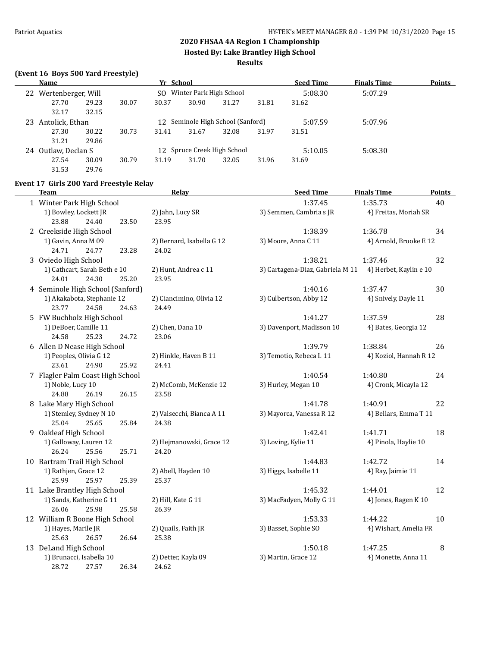**Hosted By: Lake Brantley High School**

#### **Results**

#### **(Event 16 Boys 500 Yard Freestyle)**

|    | Name                  |       |       | Yr School                         |                         |                             |       | <b>Seed Time</b> | <b>Finals Time</b> | <b>Points</b> |
|----|-----------------------|-------|-------|-----------------------------------|-------------------------|-----------------------------|-------|------------------|--------------------|---------------|
|    | 22 Wertenberger, Will |       |       | SO.                               | Winter Park High School |                             |       | 5:08.30          | 5:07.29            |               |
|    | 27.70                 | 29.23 | 30.07 | 30.37                             | 30.90                   | 31.27                       | 31.81 | 31.62            |                    |               |
|    | 32.17                 | 32.15 |       |                                   |                         |                             |       |                  |                    |               |
| 23 | Antolick, Ethan       |       |       | 12 Seminole High School (Sanford) |                         |                             |       | 5:07.59          | 5:07.96            |               |
|    | 27.30                 | 30.22 | 30.73 | 31.41                             | 31.67                   | 32.08                       | 31.97 | 31.51            |                    |               |
|    | 31.21                 | 29.86 |       |                                   |                         |                             |       |                  |                    |               |
| 24 | Outlaw, Declan S      |       |       |                                   |                         | 12 Spruce Creek High School |       | 5:10.05          | 5:08.30            |               |
|    | 27.54                 | 30.09 | 30.79 | 31.19                             | 31.70                   | 32.05                       | 31.96 | 31.69            |                    |               |
|    | 31.53                 | 29.76 |       |                                   |                         |                             |       |                  |                    |               |

#### **Event 17 Girls 200 Yard Freestyle Relay**

| Team                                                 | <b>Relay</b>              | <b>Seed Time</b>                 | <b>Finals Time</b>     | <b>Points</b> |
|------------------------------------------------------|---------------------------|----------------------------------|------------------------|---------------|
| 1 Winter Park High School                            |                           | 1:37.45                          | 1:35.73                | 40            |
| 1) Bowley, Lockett JR                                | 2) Jahn, Lucy SR          | 3) Semmen, Cambria s JR          | 4) Freitas, Moriah SR  |               |
| 23.88<br>24.40<br>23.50                              | 23.95                     |                                  |                        |               |
| 2 Creekside High School                              |                           | 1:38.39                          | 1:36.78                | 34            |
| 1) Gavin, Anna M 09                                  | 2) Bernard, Isabella G 12 | 3) Moore, Anna C 11              | 4) Arnold, Brooke E 12 |               |
| 24.71<br>24.77<br>23.28                              | 24.02                     |                                  |                        |               |
| 3 Oviedo High School                                 |                           | 1:38.21                          | 1:37.46                | 32            |
| 1) Cathcart, Sarah Beth e 10                         | 2) Hunt, Andrea c 11      | 3) Cartagena-Diaz, Gabriela M 11 | 4) Herbet, Kaylin e 10 |               |
| 24.30<br>24.01<br>25.20                              | 23.95                     |                                  |                        |               |
| 4 Seminole High School (Sanford)                     |                           | 1:40.16                          | 1:37.47                | 30            |
| 1) Akakabota, Stephanie 12                           | 2) Ciancimino, Olivia 12  | 3) Culbertson, Abby 12           | 4) Snively, Dayle 11   |               |
| 23.77<br>24.58<br>24.63                              | 24.49                     |                                  |                        |               |
| 5 FW Buchholz High School                            |                           | 1:41.27                          | 1:37.59                | 28            |
| 1) DeBoer, Camille 11                                | 2) Chen, Dana 10          | 3) Davenport, Madisson 10        | 4) Bates, Georgia 12   |               |
| 24.58<br>25.23<br>24.72                              | 23.06                     |                                  |                        |               |
| 6 Allen D Nease High School                          |                           | 1:39.79                          | 1:38.84                | 26            |
| 1) Peoples, Olivia G 12                              | 2) Hinkle, Haven B 11     | 3) Temotio, Rebeca L 11          | 4) Koziol, Hannah R 12 |               |
| 25.92<br>23.61<br>24.90                              | 24.41                     |                                  |                        |               |
| 7 Flagler Palm Coast High School                     |                           | 1:40.54                          | 1:40.80                | 24            |
| 1) Noble, Lucy 10                                    | 2) McComb, McKenzie 12    | 3) Hurley, Megan 10              | 4) Cronk, Micayla 12   |               |
| 26.15<br>24.88<br>26.19                              | 23.58                     |                                  |                        |               |
| 8 Lake Mary High School                              |                           | 1:41.78                          | 1:40.91                | 22            |
| 1) Stemley, Sydney N 10                              | 2) Valsecchi, Bianca A 11 | 3) Mayorca, Vanessa R 12         | 4) Bellars, Emma T 11  |               |
| 25.04<br>25.65<br>25.84                              | 24.38                     |                                  |                        |               |
| 9 Oakleaf High School                                |                           | 1:42.41                          | 1:41.71                | 18            |
| 1) Galloway, Lauren 12<br>26.24<br>25.56<br>25.71    | 2) Hejmanowski, Grace 12  | 3) Loving, Kylie 11              | 4) Pinola, Haylie 10   |               |
|                                                      | 24.20                     | 1:44.83                          | 1:42.72                |               |
| 10 Bartram Trail High School<br>1) Rathjen, Grace 12 | 2) Abell, Hayden 10       | 3) Higgs, Isabelle 11            | 4) Ray, Jaimie 11      | 14            |
| 25.99<br>25.97<br>25.39                              | 25.37                     |                                  |                        |               |
| 11 Lake Brantley High School                         |                           | 1:45.32                          | 1:44.01                | 12            |
| 1) Sands, Katherine G 11                             | 2) Hill, Kate G 11        | 3) MacFadyen, Molly G 11         | 4) Jones, Ragen K 10   |               |
| 26.06<br>25.98<br>25.58                              | 26.39                     |                                  |                        |               |
| 12 William R Boone High School                       |                           | 1:53.33                          | 1:44.22                | 10            |
| 1) Hayes, Marile JR                                  | 2) Quails, Faith JR       | 3) Basset, Sophie SO             | 4) Wishart, Amelia FR  |               |
| 25.63<br>26.57<br>26.64                              | 25.38                     |                                  |                        |               |
| 13 DeLand High School                                |                           | 1:50.18                          | 1:47.25                | 8             |
| 1) Brunacci, Isabella 10                             | 2) Detter, Kayla 09       | 3) Martin, Grace 12              | 4) Monette, Anna 11    |               |
| 28.72<br>26.34<br>27.57                              | 24.62                     |                                  |                        |               |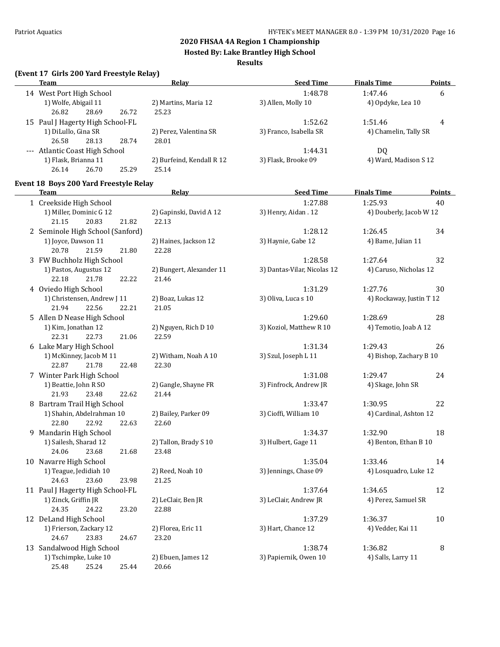**Hosted By: Lake Brantley High School**

#### **Results**

### **(Event 17 Girls 200 Yard Freestyle Relay)**

|                                  | Livent 17 unis 200 iaru ricestyle Relay |       |       |                           |                        |                       |        |
|----------------------------------|-----------------------------------------|-------|-------|---------------------------|------------------------|-----------------------|--------|
|                                  | <b>Team</b>                             |       |       | <b>Relav</b>              | <b>Seed Time</b>       | <b>Finals Time</b>    | Points |
|                                  | 14 West Port High School                |       |       |                           | 1:48.78                | 1:47.46               | 6      |
|                                  | 1) Wolfe, Abigail 11                    |       |       | 2) Martins, Maria 12      | 3) Allen, Molly 10     | 4) Opdyke, Lea 10     |        |
|                                  | 26.82                                   | 28.69 | 26.72 | 25.23                     |                        |                       |        |
| 15 Paul J Hagerty High School-FL |                                         |       |       | 1:52.62                   | 1:51.46                | 4                     |        |
|                                  | 1) DiLullo, Gina SR                     |       |       | 2) Perez, Valentina SR    | 3) Franco, Isabella SR | 4) Chamelin, Tally SR |        |
|                                  | 26.58                                   | 28.13 | 28.74 | 28.01                     |                        |                       |        |
|                                  | --- Atlantic Coast High School          |       |       |                           | 1:44.31                | DO.                   |        |
|                                  | 1) Flask, Brianna 11                    |       |       | 2) Burfeind, Kendall R 12 | 3) Flask, Brooke 09    | 4) Ward, Madison S 12 |        |
|                                  | 26.14                                   | 26.70 | 25.29 | 25.14                     |                        |                       |        |
|                                  |                                         |       |       |                           |                        |                       |        |

### **Event 18 Boys 200 Yard Freestyle Relay**

| <b>Team</b>                      | Relay                    | <b>Seed Time</b>            | <b>Finals Time</b>       | Points |
|----------------------------------|--------------------------|-----------------------------|--------------------------|--------|
| 1 Creekside High School          |                          | 1:27.88                     | 1:25.93                  | 40     |
| 1) Miller, Dominic G 12          | 2) Gapinski, David A 12  | 3) Henry, Aidan. 12         | 4) Douberly, Jacob W 12  |        |
| 21.15<br>20.83<br>21.82          | 22.13                    |                             |                          |        |
| 2 Seminole High School (Sanford) |                          | 1:28.12                     | 1:26.45                  | 34     |
| 1) Joyce, Dawson 11              | 2) Haines, Jackson 12    | 3) Haynie, Gabe 12          | 4) Bame, Julian 11       |        |
| 20.78<br>21.59<br>21.80          | 22.28                    |                             |                          |        |
| 3 FW Buchholz High School        |                          | 1:28.58                     | 1:27.64                  | 32     |
| 1) Pastos, Augustus 12           | 2) Bungert, Alexander 11 | 3) Dantas-Vilar, Nicolas 12 | 4) Caruso, Nicholas 12   |        |
| 21.78<br>22.18<br>22.22          | 21.46                    |                             |                          |        |
| 4 Oviedo High School             |                          | 1:31.29                     | 1:27.76                  | 30     |
| 1) Christensen, Andrew J 11      | 2) Boaz, Lukas 12        | 3) Oliva, Luca s 10         | 4) Rockaway, Justin T 12 |        |
| 22.56<br>21.94<br>22.21          | 21.05                    |                             |                          |        |
| 5 Allen D Nease High School      |                          | 1:29.60                     | 1:28.69                  | 28     |
| 1) Kim, Jonathan 12              | 2) Nguyen, Rich D 10     | 3) Koziol, Matthew R 10     | 4) Temotio, Joab A 12    |        |
| 22.31<br>22.73<br>21.06          | 22.59                    |                             |                          |        |
| 6 Lake Mary High School          |                          | 1:31.34                     | 1:29.43                  | 26     |
| 1) McKinney, Jacob M 11          | 2) Witham, Noah A 10     | 3) Szul, Joseph L 11        | 4) Bishop, Zachary B 10  |        |
| 22.87<br>21.78<br>22.48          | 22.30                    |                             |                          |        |
| 7 Winter Park High School        |                          | 1:31.08                     | 1:29.47                  | 24     |
| 1) Beattie, John R SO            | 2) Gangle, Shayne FR     | 3) Finfrock, Andrew JR      | 4) Skage, John SR        |        |
| 21.93<br>23.48<br>22.62          | 21.44                    |                             |                          |        |
| 8 Bartram Trail High School      |                          | 1:33.47                     | 1:30.95                  | 22     |
| 1) Shahin, Abdelrahman 10        | 2) Bailey, Parker 09     | 3) Cioffi, William 10       | 4) Cardinal, Ashton 12   |        |
| 22.80<br>22.92<br>22.63          | 22.60                    |                             |                          |        |
| 9 Mandarin High School           |                          | 1:34.37                     | 1:32.90                  | 18     |
| 1) Sailesh, Sharad 12            | 2) Tallon, Brady S 10    | 3) Hulbert, Gage 11         | 4) Benton, Ethan B 10    |        |
| 23.68<br>24.06<br>21.68          | 23.48                    |                             |                          |        |
| 10 Navarre High School           |                          | 1:35.04                     | 1:33.46                  | 14     |
| 1) Teague, Jedidiah 10           | 2) Reed, Noah 10         | 3) Jennings, Chase 09       | 4) Losquadro, Luke 12    |        |
| 24.63<br>23.60<br>23.98          | 21.25                    |                             |                          |        |
| 11 Paul J Hagerty High School-FL |                          | 1:37.64                     | 1:34.65                  | 12     |
| 1) Zinck, Griffin JR             | 2) LeClair, Ben JR       | 3) LeClair, Andrew JR       | 4) Perez, Samuel SR      |        |
| 24.35<br>24.22<br>23.20          | 22.88                    |                             |                          |        |
| 12 DeLand High School            |                          | 1:37.29                     | 1:36.37                  | 10     |
| 1) Frierson, Zackary 12          | 2) Florea, Eric 11       | 3) Hart, Chance 12          | 4) Vedder, Kai 11        |        |
| 24.67<br>23.83<br>24.67          | 23.20                    |                             |                          |        |
| 13 Sandalwood High School        |                          | 1:38.74                     | 1:36.82                  | $\, 8$ |
| 1) Tschimpke, Luke 10            | 2) Ebuen, James 12       | 3) Papiernik, Owen 10       | 4) Salls, Larry 11       |        |
| 25.48<br>25.24<br>25.44          | 20.66                    |                             |                          |        |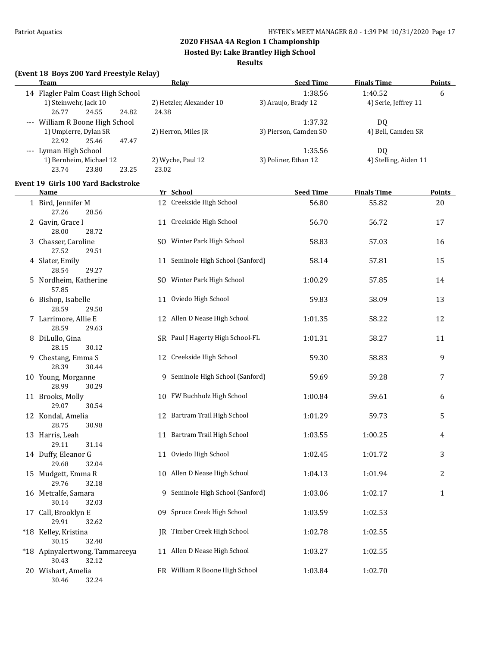30.43 32.12

30.46 32.24

#### **2020 FHSAA 4A Region 1 Championship**

**Hosted By: Lake Brantley High School**

#### **Results**

| (Event 18 Boys 200 Yard Freestyle Relay)                                              |                                   |                                |                                 |               |
|---------------------------------------------------------------------------------------|-----------------------------------|--------------------------------|---------------------------------|---------------|
| <b>Team</b>                                                                           | Relay                             | <b>Seed Time</b>               | <b>Finals Time</b>              | <b>Points</b> |
| 14 Flagler Palm Coast High School<br>1) Steinwehr, Jack 10<br>26.77<br>24.55<br>24.82 | 2) Hetzler, Alexander 10<br>24.38 | 1:38.56<br>3) Araujo, Brady 12 | 1:40.52<br>4) Serle, Jeffrey 11 | 6             |
| --- William R Boone High School                                                       |                                   | 1:37.32                        | DQ                              |               |
| 1) Umpierre, Dylan SR<br>22.92<br>25.46<br>47.47                                      | 2) Herron, Miles JR               | 3) Pierson, Camden SO          | 4) Bell, Camden SR              |               |
| --- Lyman High School                                                                 |                                   | 1:35.56                        | DQ                              |               |
| 1) Bernheim, Michael 12<br>23.74<br>23.80<br>23.25                                    | 2) Wyche, Paul 12<br>23.02        | 3) Poliner, Ethan 12           | 4) Stelling, Aiden 11           |               |
| <b>Event 19 Girls 100 Yard Backstroke</b><br>Name                                     | Yr School                         | <b>Seed Time</b>               | <b>Finals Time</b>              | <b>Points</b> |
| 1 Bird, Jennifer M                                                                    | 12 Creekside High School          | 56.80                          | 55.82                           | 20            |
| 27.26<br>28.56                                                                        |                                   |                                |                                 |               |
| 2 Gavin, Grace I<br>28.00<br>28.72                                                    | 11 Creekside High School          | 56.70                          | 56.72                           | 17            |
| 3 Chasser, Caroline<br>27.52<br>29.51                                                 | SO Winter Park High School        | 58.83                          | 57.03                           | 16            |
| 4 Slater, Emily<br>28.54<br>29.27                                                     | 11 Seminole High School (Sanford) | 58.14                          | 57.81                           | 15            |
| 5 Nordheim, Katherine<br>57.85                                                        | SO Winter Park High School        | 1:00.29                        | 57.85                           | 14            |
| 6 Bishop, Isabelle<br>28.59<br>29.50                                                  | 11 Oviedo High School             | 59.83                          | 58.09                           | 13            |
| 7 Larrimore, Allie E<br>28.59<br>29.63                                                | 12 Allen D Nease High School      | 1:01.35                        | 58.22                           | 12            |
| 8 DiLullo, Gina<br>28.15<br>30.12                                                     | SR Paul J Hagerty High School-FL  | 1:01.31                        | 58.27                           | 11            |
| 9 Chestang, Emma S<br>28.39<br>30.44                                                  | 12 Creekside High School          | 59.30                          | 58.83                           | 9             |
| 10 Young, Morganne<br>28.99<br>30.29                                                  | 9 Seminole High School (Sanford)  | 59.69                          | 59.28                           | 7             |
| 11 Brooks, Molly<br>29.07<br>30.54                                                    | 10 FW Buchholz High School        | 1:00.84                        | 59.61                           | 6             |
| 12 Kondal, Amelia<br>28.75<br>30.98                                                   | 12 Bartram Trail High School      | 1:01.29                        | 59.73                           | 5             |
| 13 Harris, Leah<br>29.11<br>31.14                                                     | 11 Bartram Trail High School      | 1:03.55                        | 1:00.25                         | 4             |
| 14 Duffy, Eleanor G<br>29.68<br>32.04                                                 | 11 Oviedo High School             | 1:02.45                        | 1:01.72                         | 3             |
| 15 Mudgett, Emma R<br>29.76<br>32.18                                                  | 10 Allen D Nease High School      | 1:04.13                        | 1:01.94                         | 2             |
| 16 Metcalfe, Samara<br>30.14<br>32.03                                                 | 9 Seminole High School (Sanford)  | 1:03.06                        | 1:02.17                         | 1             |
| 17 Call, Brooklyn E<br>29.91<br>32.62                                                 | 09 Spruce Creek High School       | 1:03.59                        | 1:02.53                         |               |
| *18 Kelley, Kristina<br>30.15<br>32.40                                                | JR Timber Creek High School       | 1:02.78                        | 1:02.55                         |               |
| *18 Apinyalertwong, Tammareeya                                                        | 11 Allen D Nease High School      | 1:03.27                        | 1:02.55                         |               |

20 Wishart, Amelia **FR** William R Boone High School 1:03.84 1:02.70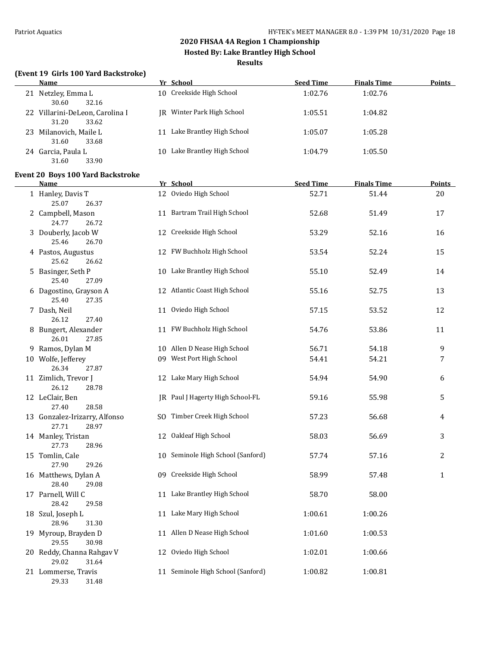**Hosted By: Lake Brantley High School**

#### **Results**

#### **(Event 19 Girls 100 Yard Backstroke)**

| <b>Name</b>                                       | Yr School                        | <b>Seed Time</b> | <b>Finals Time</b> | <b>Points</b> |
|---------------------------------------------------|----------------------------------|------------------|--------------------|---------------|
| Netzley, Emma L<br>21<br>30.60<br>32.16           | 10 Creekside High School         | 1:02.76          | 1:02.76            |               |
| 22 Villarini-DeLeon, Carolina I<br>31.20<br>33.62 | IR Winter Park High School       | 1:05.51          | 1:04.82            |               |
| Milanovich, Maile L<br>33.68<br>31.60             | Lake Brantley High School        | 1:05.07          | 1:05.28            |               |
| 24 Garcia, Paula L<br>33.90<br>31.60              | Lake Brantley High School<br>10. | 1:04.79          | 1:05.50            |               |

#### **Event 20 Boys 100 Yard Backstroke**

| Name                                            | Yr School                         | <b>Seed Time</b> | <b>Finals Time</b> | <u>Points</u>  |
|-------------------------------------------------|-----------------------------------|------------------|--------------------|----------------|
| 1 Hanley, Davis T<br>25.07<br>26.37             | 12 Oviedo High School             | 52.71            | 51.44              | 20             |
| 2 Campbell, Mason<br>24.77<br>26.72             | 11 Bartram Trail High School      | 52.68            | 51.49              | 17             |
| 3 Douberly, Jacob W<br>25.46<br>26.70           | 12 Creekside High School          | 53.29            | 52.16              | 16             |
| 4 Pastos, Augustus<br>25.62<br>26.62            | 12 FW Buchholz High School        | 53.54            | 52.24              | 15             |
| 5 Basinger, Seth P<br>25.40<br>27.09            | 10 Lake Brantley High School      | 55.10            | 52.49              | 14             |
| 6 Dagostino, Grayson A<br>25.40<br>27.35        | 12 Atlantic Coast High School     | 55.16            | 52.75              | 13             |
| 7 Dash, Neil<br>26.12<br>27.40                  | 11 Oviedo High School             | 57.15            | 53.52              | 12             |
| 8 Bungert, Alexander<br>26.01<br>27.85          | 11 FW Buchholz High School        | 54.76            | 53.86              | 11             |
| 9 Ramos, Dylan M                                | 10 Allen D Nease High School      | 56.71            | 54.18              | 9              |
| 10 Wolfe, Jefferey<br>26.34<br>27.87            | 09 West Port High School          | 54.41            | 54.21              | 7              |
| 11 Zimlich, Trevor J<br>26.12<br>28.78          | 12 Lake Mary High School          | 54.94            | 54.90              | 6              |
| 12 LeClair, Ben<br>27.40<br>28.58               | JR Paul J Hagerty High School-FL  | 59.16            | 55.98              | 5              |
| 13 Gonzalez-Irizarry, Alfonso<br>27.71<br>28.97 | SO Timber Creek High School       | 57.23            | 56.68              | 4              |
| 14 Manley, Tristan<br>27.73<br>28.96            | 12 Oakleaf High School            | 58.03            | 56.69              | 3              |
| 15 Tomlin, Cale<br>27.90<br>29.26               | 10 Seminole High School (Sanford) | 57.74            | 57.16              | $\overline{2}$ |
| 16 Matthews, Dylan A<br>28.40<br>29.08          | 09 Creekside High School          | 58.99            | 57.48              | $\mathbf{1}$   |
| 17 Parnell, Will C<br>28.42<br>29.58            | 11 Lake Brantley High School      | 58.70            | 58.00              |                |
| 18 Szul, Joseph L<br>28.96<br>31.30             | 11 Lake Mary High School          | 1:00.61          | 1:00.26            |                |
| 19 Myroup, Brayden D<br>29.55<br>30.98          | 11 Allen D Nease High School      | 1:01.60          | 1:00.53            |                |
| 20 Reddy, Channa Rahgav V<br>29.02<br>31.64     | 12 Oviedo High School             | 1:02.01          | 1:00.66            |                |
| 21 Lommerse, Travis<br>29.33<br>31.48           | 11 Seminole High School (Sanford) | 1:00.82          | 1:00.81            |                |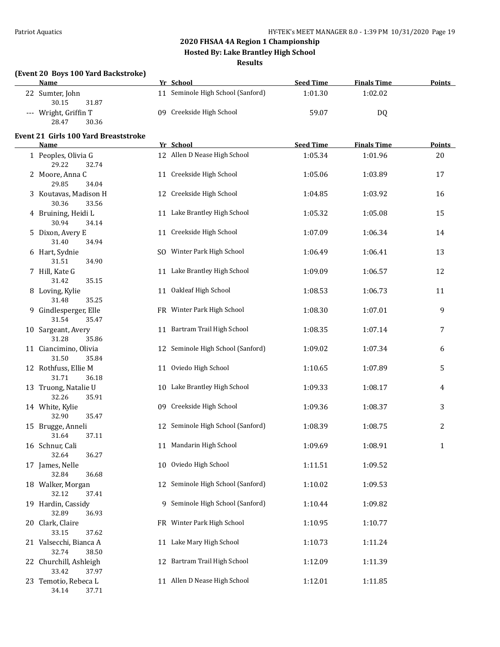**Hosted By: Lake Brantley High School**

**Results**

#### **(Event 20 Boys 100 Yard Backstroke)**

| <b>Name</b>                                 | Yr School                                 | <b>Seed Time</b>            | <b>Finals Time</b>            | <b>Points</b> |
|---------------------------------------------|-------------------------------------------|-----------------------------|-------------------------------|---------------|
| 22 Sumter, John<br>30.15<br>31.87           | 11 Seminole High School (Sanford)         | 1:01.30                     | 1:02.02                       |               |
| --- Wright, Griffin T<br>28.47<br>30.36     | 09 Creekside High School                  | 59.07                       | <b>DQ</b>                     |               |
| <b>Event 21 Girls 100 Yard Breaststroke</b> |                                           |                             |                               |               |
| Name<br>1 Peoples, Olivia G                 | Yr School<br>12 Allen D Nease High School | <b>Seed Time</b><br>1:05.34 | <b>Finals Time</b><br>1:01.96 | Points<br>20  |
| 29.22<br>32.74                              |                                           |                             |                               |               |
| 2 Moore, Anna C<br>29.85<br>34.04           | 11 Creekside High School                  | 1:05.06                     | 1:03.89                       | 17            |
| 3 Koutavas, Madison H<br>30.36<br>33.56     | 12 Creekside High School                  | 1:04.85                     | 1:03.92                       | 16            |
| 4 Bruining, Heidi L<br>30.94<br>34.14       | 11 Lake Brantley High School              | 1:05.32                     | 1:05.08                       | 15            |
| 5 Dixon, Avery E<br>31.40<br>34.94          | 11 Creekside High School                  | 1:07.09                     | 1:06.34                       | 14            |
| 6 Hart, Sydnie<br>31.51<br>34.90            | SO Winter Park High School                | 1:06.49                     | 1:06.41                       | 13            |
| 7 Hill, Kate G<br>31.42<br>35.15            | 11 Lake Brantley High School              | 1:09.09                     | 1:06.57                       | 12            |
| 8 Loving, Kylie<br>31.48<br>35.25           | 11 Oakleaf High School                    | 1:08.53                     | 1:06.73                       | 11            |
| 9 Gindlesperger, Elle<br>31.54<br>35.47     | FR Winter Park High School                | 1:08.30                     | 1:07.01                       | 9             |
| 10 Sargeant, Avery<br>31.28<br>35.86        | 11 Bartram Trail High School              | 1:08.35                     | 1:07.14                       | 7             |
| 11 Ciancimino, Olivia<br>31.50<br>35.84     | 12 Seminole High School (Sanford)         | 1:09.02                     | 1:07.34                       | 6             |
| 12 Rothfuss, Ellie M<br>31.71<br>36.18      | 11 Oviedo High School                     | 1:10.65                     | 1:07.89                       | 5             |
| 13 Truong, Natalie U<br>32.26<br>35.91      | 10 Lake Brantley High School              | 1:09.33                     | 1:08.17                       | 4             |
| 14 White, Kylie<br>32.90<br>35.47           | 09 Creekside High School                  | 1:09.36                     | 1:08.37                       | 3             |
| 15 Brugge, Anneli<br>31.64<br>37.11         | 12 Seminole High School (Sanford)         | 1:08.39                     | 1:08.75                       | 2             |
| 16 Schnur, Cali<br>32.64<br>36.27           | 11 Mandarin High School                   | 1:09.69                     | 1:08.91                       | $\mathbf{1}$  |
| 17 James, Nelle<br>32.84<br>36.68           | 10 Oviedo High School                     | 1:11.51                     | 1:09.52                       |               |
| 18 Walker, Morgan<br>32.12<br>37.41         | 12 Seminole High School (Sanford)         | 1:10.02                     | 1:09.53                       |               |
| 19 Hardin, Cassidy<br>32.89<br>36.93        | 9 Seminole High School (Sanford)          | 1:10.44                     | 1:09.82                       |               |
| 20 Clark, Claire<br>33.15<br>37.62          | FR Winter Park High School                | 1:10.95                     | 1:10.77                       |               |
| 21 Valsecchi, Bianca A<br>32.74<br>38.50    | 11 Lake Mary High School                  | 1:10.73                     | 1:11.24                       |               |
| 22 Churchill, Ashleigh<br>33.42<br>37.97    | 12 Bartram Trail High School              | 1:12.09                     | 1:11.39                       |               |
| 23 Temotio, Rebeca L<br>34.14<br>37.71      | 11 Allen D Nease High School              | 1:12.01                     | 1:11.85                       |               |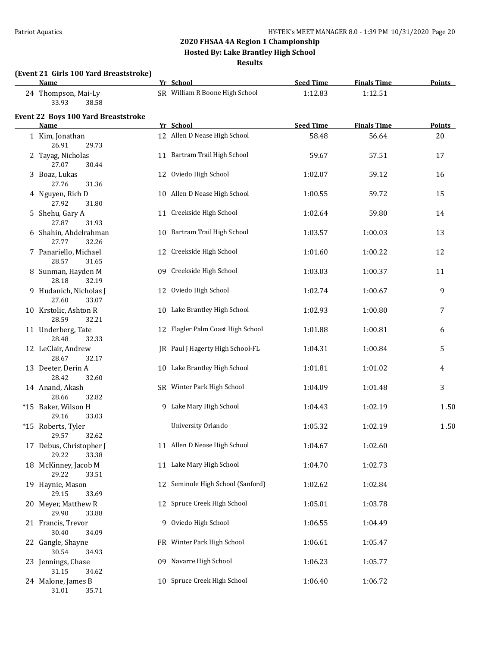**Hosted By: Lake Brantley High School**

**Results**

## **(Event 21 Girls 100 Yard Breaststroke)**

| <b>Name</b>                                        | Yr School                         | <b>Seed Time</b> | <b>Finals Time</b> | <b>Points</b> |
|----------------------------------------------------|-----------------------------------|------------------|--------------------|---------------|
| 24 Thompson, Mai-Ly<br>33.93<br>38.58              | SR William R Boone High School    | 1:12.83          | 1:12.51            |               |
| Event 22 Boys 100 Yard Breaststroke<br><b>Name</b> | Yr School                         | <b>Seed Time</b> | <b>Finals Time</b> | <b>Points</b> |
| 1 Kim, Jonathan<br>26.91<br>29.73                  | 12 Allen D Nease High School      | 58.48            | 56.64              | 20            |
| 2 Tayag, Nicholas<br>27.07<br>30.44                | 11 Bartram Trail High School      | 59.67            | 57.51              | 17            |
| 3 Boaz, Lukas<br>27.76<br>31.36                    | 12 Oviedo High School             | 1:02.07          | 59.12              | 16            |
| 4 Nguyen, Rich D<br>27.92<br>31.80                 | 10 Allen D Nease High School      | 1:00.55          | 59.72              | 15            |
| 5 Shehu, Gary A<br>27.87<br>31.93                  | 11 Creekside High School          | 1:02.64          | 59.80              | 14            |
| 6 Shahin, Abdelrahman<br>27.77<br>32.26            | 10 Bartram Trail High School      | 1:03.57          | 1:00.03            | 13            |
| 7 Panariello, Michael<br>28.57<br>31.65            | 12 Creekside High School          | 1:01.60          | 1:00.22            | 12            |
| 8 Sunman, Hayden M<br>28.18<br>32.19               | 09 Creekside High School          | 1:03.03          | 1:00.37            | 11            |
| 9 Hudanich, Nicholas J<br>27.60<br>33.07           | 12 Oviedo High School             | 1:02.74          | 1:00.67            | 9             |
| 10 Krstolic, Ashton R<br>28.59<br>32.21            | 10 Lake Brantley High School      | 1:02.93          | 1:00.80            | 7             |
| 11 Underberg, Tate<br>28.48<br>32.33               | 12 Flagler Palm Coast High School | 1:01.88          | 1:00.81            | 6             |
| 12 LeClair, Andrew<br>28.67<br>32.17               | JR Paul J Hagerty High School-FL  | 1:04.31          | 1:00.84            | 5             |
| 13 Deeter, Derin A<br>28.42<br>32.60               | 10 Lake Brantley High School      | 1:01.81          | 1:01.02            | 4             |
| 14 Anand, Akash<br>28.66<br>32.82                  | SR Winter Park High School        | 1:04.09          | 1:01.48            | 3             |
| *15 Baker, Wilson H<br>29.16<br>33.03              | 9 Lake Mary High School           | 1:04.43          | 1:02.19            | 1.50          |
| *15 Roberts, Tyler<br>29.57<br>32.62               | University Orlando                | 1:05.32          | 1:02.19            | 1.50          |
| 17 Debus, Christopher J<br>29.22<br>33.38          | 11 Allen D Nease High School      | 1:04.67          | 1:02.60            |               |
| 18 McKinney, Jacob M<br>29.22<br>33.51             | 11 Lake Mary High School          | 1:04.70          | 1:02.73            |               |
| 19 Haynie, Mason<br>29.15<br>33.69                 | 12 Seminole High School (Sanford) | 1:02.62          | 1:02.84            |               |
| 20 Meyer, Matthew R<br>29.90<br>33.88              | 12 Spruce Creek High School       | 1:05.01          | 1:03.78            |               |
| 21 Francis, Trevor<br>30.40<br>34.09               | 9 Oviedo High School              | 1:06.55          | 1:04.49            |               |
| 22 Gangle, Shayne<br>30.54<br>34.93                | FR Winter Park High School        | 1:06.61          | 1:05.47            |               |
| 23 Jennings, Chase<br>31.15<br>34.62               | 09 Navarre High School            | 1:06.23          | 1:05.77            |               |
| 24 Malone, James B<br>31.01<br>35.71               | 10 Spruce Creek High School       | 1:06.40          | 1:06.72            |               |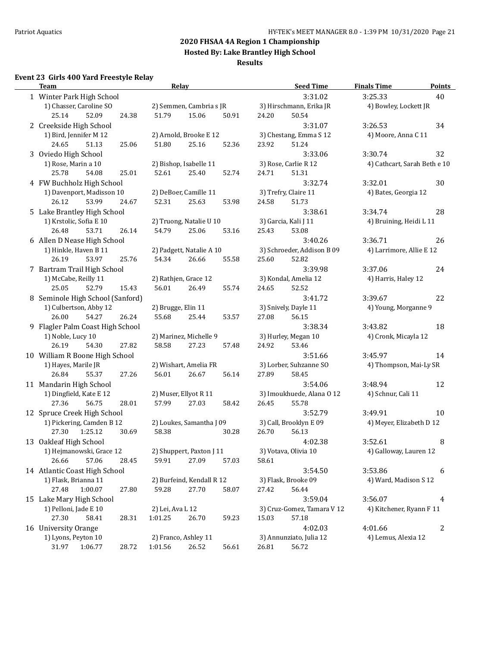**Hosted By: Lake Brantley High School**

#### **Results**

## **Event 23 Girls 400 Yard Freestyle Relay**

| <b>Team</b>                                   |       | <b>Relay</b>                      |       |       |       | <b>Seed Time</b>                | <b>Finals Time</b>           | <b>Points</b>    |
|-----------------------------------------------|-------|-----------------------------------|-------|-------|-------|---------------------------------|------------------------------|------------------|
| 1 Winter Park High School                     |       |                                   |       |       |       | 3:31.02                         | 3:25.33                      | 40               |
| 1) Chasser, Caroline SO                       |       | 2) Semmen, Cambria s JR           |       |       |       | 3) Hirschmann, Erika JR         | 4) Bowley, Lockett JR        |                  |
| 25.14<br>52.09                                | 24.38 | 51.79                             | 15.06 | 50.91 | 24.20 | 50.54                           |                              |                  |
| 2 Creekside High School                       |       |                                   |       |       |       | 3:31.07                         | 3:26.53                      | 34               |
| 1) Bird, Jennifer M 12                        |       | 2) Arnold, Brooke E 12            |       |       |       | 3) Chestang, Emma S 12          | 4) Moore, Anna C 11          |                  |
| 24.65<br>51.13                                | 25.06 | 51.80                             | 25.16 | 52.36 | 23.92 | 51.24                           |                              |                  |
| 3 Oviedo High School                          |       |                                   |       |       |       | 3:33.06                         | 3:30.74                      | 32               |
| 1) Rose, Marin a 10                           |       | 2) Bishop, Isabelle 11            |       |       |       | 3) Rose, Carlie R 12            | 4) Cathcart, Sarah Beth e 10 |                  |
| 25.78<br>54.08                                | 25.01 | 52.61                             | 25.40 | 52.74 | 24.71 | 51.31                           |                              |                  |
| 4 FW Buchholz High School                     |       |                                   |       |       |       | 3:32.74                         | 3:32.01                      | 30               |
| 1) Davenport, Madisson 10                     |       | 2) DeBoer, Camille 11             |       |       |       | 3) Trefry, Claire 11            | 4) Bates, Georgia 12         |                  |
| 26.12<br>53.99                                | 24.67 | 52.31                             | 25.63 | 53.98 | 24.58 | 51.73                           |                              |                  |
| 5 Lake Brantley High School                   |       |                                   |       |       |       | 3:38.61                         | 3:34.74                      | 28               |
| 1) Krstolic, Sofia E 10                       |       | 2) Truong, Natalie U 10           |       |       |       | 3) Garcia, Kali J 11            | 4) Bruining, Heidi L 11      |                  |
| 26.48<br>53.71                                | 26.14 | 54.79                             | 25.06 | 53.16 | 25.43 | 53.08                           |                              |                  |
| 6 Allen D Nease High School                   |       |                                   |       |       |       | 3:40.26                         | 3:36.71                      | 26               |
| 1) Hinkle, Haven B 11                         |       | 2) Padgett, Natalie A 10          |       |       |       | 3) Schroeder, Addison B 09      | 4) Larrimore, Allie E 12     |                  |
| 26.19<br>53.97                                | 25.76 | 54.34                             | 26.66 | 55.58 | 25.60 | 52.82                           |                              |                  |
| 7 Bartram Trail High School                   |       |                                   |       |       |       | 3:39.98                         | 3:37.06                      | 24               |
| 1) McCabe, Reilly 11                          |       | 2) Rathjen, Grace 12              |       |       |       | 3) Kondal, Amelia 12            | 4) Harris, Haley 12          |                  |
| 25.05<br>52.79                                | 15.43 | 56.01                             | 26.49 | 55.74 | 24.65 | 52.52                           |                              |                  |
| 8 Seminole High School (Sanford)              |       |                                   |       |       |       | 3:41.72                         | 3:39.67                      | 22               |
| 1) Culbertson, Abby 12                        |       | 2) Brugge, Elin 11                |       |       |       | 3) Snively, Dayle 11            | 4) Young, Morganne 9         |                  |
| 26.00<br>54.27                                | 26.24 | 55.68                             | 25.44 | 53.57 | 27.08 | 56.15                           |                              |                  |
| 9 Flagler Palm Coast High School              |       |                                   |       |       |       | 3:38.34                         | 3:43.82                      | 18               |
| 1) Noble, Lucy 10                             |       | 2) Marinez, Michelle 9            |       |       |       | 3) Hurley, Megan 10             | 4) Cronk, Micayla 12         |                  |
| 26.19<br>54.30                                | 27.82 | 58.58                             | 27.23 | 57.48 | 24.92 | 53.46                           |                              |                  |
| 10 William R Boone High School                |       |                                   |       |       |       | 3:51.66                         | 3:45.97                      | 14               |
| 1) Hayes, Marile JR                           |       | 2) Wishart, Amelia FR             |       |       |       | 3) Lorber, Suhzanne SO          | 4) Thompson, Mai-Ly SR       |                  |
| 26.84<br>55.37                                | 27.26 | 56.01                             | 26.67 | 56.14 | 27.89 | 58.45                           |                              |                  |
| 11 Mandarin High School                       |       |                                   |       |       |       | 3:54.06                         | 3:48.94                      | 12               |
| 1) Dingfield, Kate E 12                       |       | 2) Muser, Ellyot R 11             |       |       |       | 3) Imoukhuede, Alana O 12       | 4) Schnur, Cali 11           |                  |
| 27.36<br>56.75                                | 28.01 | 57.99                             | 27.03 | 58.42 | 26.45 | 55.78                           |                              |                  |
| 12 Spruce Creek High School                   |       |                                   |       |       |       | 3:52.79                         | 3:49.91                      | 10               |
| 1) Pickering, Camden B 12<br>27.30<br>1:25.12 | 30.69 | 2) Loukes, Samantha J 09<br>58.38 |       | 30.28 | 26.70 | 3) Call, Brooklyn E 09<br>56.13 | 4) Meyer, Elizabeth D 12     |                  |
| 13 Oakleaf High School                        |       |                                   |       |       |       | 4:02.38                         | 3:52.61                      | 8                |
| 1) Hejmanowski, Grace 12                      |       | 2) Shuppert, Paxton J 11          |       |       |       | 3) Votava, Olivia 10            | 4) Galloway, Lauren 12       |                  |
| 57.06<br>26.66                                | 28.45 | 59.91                             | 27.09 | 57.03 | 58.61 |                                 |                              |                  |
| 14 Atlantic Coast High School                 |       |                                   |       |       |       | 3:54.50                         | 3:53.86                      | 6                |
| 1) Flask, Brianna 11                          |       | 2) Burfeind, Kendall R 12         |       |       |       | 3) Flask, Brooke 09             | 4) Ward, Madison S 12        |                  |
| 27.48<br>1:00.07                              | 27.80 | 59.28                             | 27.70 | 58.07 | 27.42 | 56.44                           |                              |                  |
| 15 Lake Mary High School                      |       |                                   |       |       |       | 3:59.04                         | 3:56.07                      | 4                |
| 1) Pelloni, Jade E 10                         |       | 2) Lei, Ava L 12                  |       |       |       | 3) Cruz-Gomez, Tamara V 12      | 4) Kitchener, Ryann F 11     |                  |
| 27.30<br>58.41                                | 28.31 | 1:01.25                           | 26.70 | 59.23 | 15.03 | 57.18                           |                              |                  |
| 16 University Orange                          |       |                                   |       |       |       | 4:02.03                         | 4:01.66                      | $\boldsymbol{2}$ |
| 1) Lyons, Peyton 10                           |       | 2) Franco, Ashley 11              |       |       |       | 3) Annunziato, Julia 12         | 4) Lemus, Alexia 12          |                  |
| 31.97<br>1:06.77                              | 28.72 | 1:01.56                           | 26.52 | 56.61 | 26.81 | 56.72                           |                              |                  |
|                                               |       |                                   |       |       |       |                                 |                              |                  |